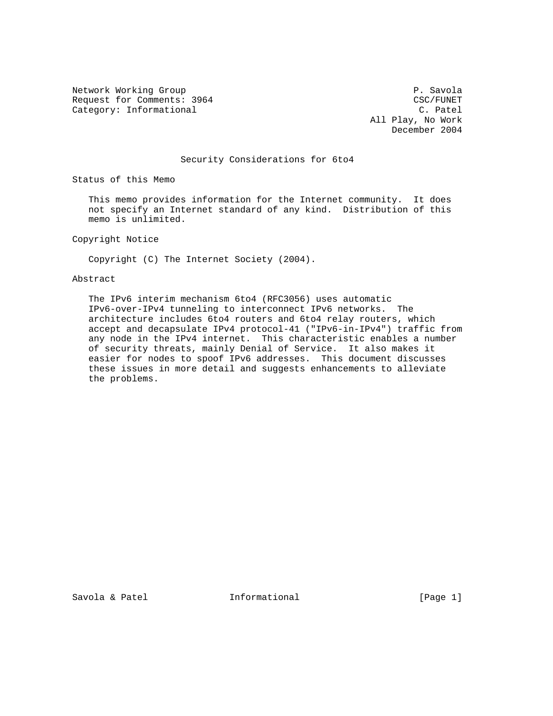Network Working Group **P. Savola** Request for Comments: 3964 CSC/FUNET<br>
Category: Informational C. Patel Category: Informational

 All Play, No Work December 2004

## Security Considerations for 6to4

Status of this Memo

 This memo provides information for the Internet community. It does not specify an Internet standard of any kind. Distribution of this memo is unlimited.

Copyright Notice

Copyright (C) The Internet Society (2004).

## Abstract

 The IPv6 interim mechanism 6to4 (RFC3056) uses automatic IPv6-over-IPv4 tunneling to interconnect IPv6 networks. The architecture includes 6to4 routers and 6to4 relay routers, which accept and decapsulate IPv4 protocol-41 ("IPv6-in-IPv4") traffic from any node in the IPv4 internet. This characteristic enables a number of security threats, mainly Denial of Service. It also makes it easier for nodes to spoof IPv6 addresses. This document discusses these issues in more detail and suggests enhancements to alleviate the problems.

Savola & Patel **Informational** [Page 1]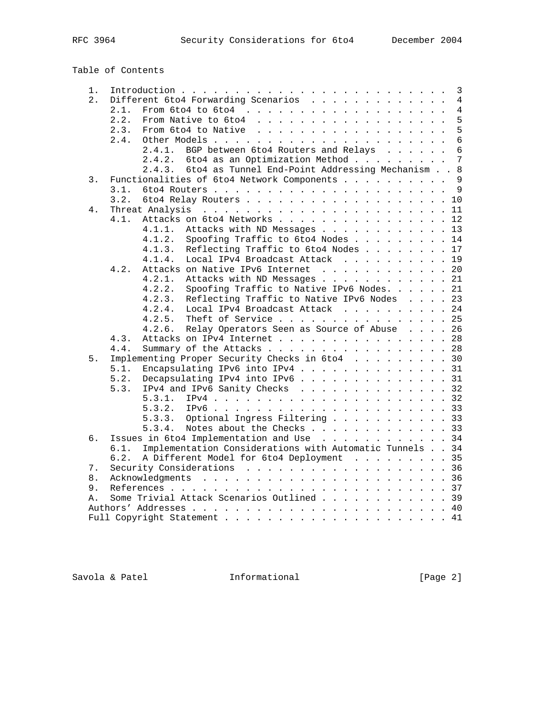Table of Contents

| 1.         | 3<br>$\overline{4}$                                              |
|------------|------------------------------------------------------------------|
| 2.         | Different 6to4 Forwarding Scenarios<br>$\overline{4}$<br>2.1.    |
|            | 5                                                                |
|            | 2.2.<br>5                                                        |
|            | 2.3.                                                             |
|            | $6\phantom{a}$<br>2.4.                                           |
|            | BGP between 6to4 Routers and Relays<br>$6\overline{6}$<br>2.4.1. |
|            | $\overline{7}$<br>6to4 as an Optimization Method<br>2.4.2.       |
|            | 2.4.3. 6to4 as Tunnel End-Point Addressing Mechanism 8           |
| 3.         | Functionalities of 6to4 Network Components 9                     |
|            | 3.1.                                                             |
|            | 6to4 Relay Routers 10<br>3.2.                                    |
| 4.         |                                                                  |
|            | Attacks on 6to4 Networks 12<br>4.1.                              |
|            | 4.1.1.<br>Attacks with ND Messages 13                            |
|            | 4.1.2.<br>Spoofing Traffic to 6to4 Nodes 14                      |
|            | 4.1.3.<br>Reflecting Traffic to 6to4 Nodes 17                    |
|            | Local IPv4 Broadcast Attack 19<br>4.1.4.                         |
|            | Attacks on Native IPv6 Internet 20<br>4.2.                       |
|            | Attacks with ND Messages 21<br>4.2.1.                            |
|            | Spoofing Traffic to Native IPv6 Nodes. 21<br>4.2.2.              |
|            | Reflecting Traffic to Native IPv6 Nodes 23<br>4.2.3.             |
|            | Local IPv4 Broadcast Attack 24<br>4.2.4.                         |
|            | Theft of Service 25<br>4.2.5.                                    |
|            |                                                                  |
|            | Relay Operators Seen as Source of Abuse 26<br>4.2.6.             |
|            | Attacks on IPv4 Internet 28<br>4.3.                              |
|            | Summary of the Attacks 28<br>4.4.                                |
| 5.         | Implementing Proper Security Checks in 6to4 30                   |
|            | Encapsulating IPv6 into IPv4 31<br>5.1.                          |
|            | Decapsulating IPv4 into IPv6 31<br>5.2.                          |
|            | IPv4 and IPv6 Sanity Checks 32<br>5.3.                           |
|            | 5.3.1.                                                           |
|            | 5.3.2.                                                           |
|            | Optional Ingress Filtering 33<br>5.3.3.                          |
|            | Notes about the Checks 33<br>5.3.4.                              |
| б.         | Issues in 6to4 Implementation and Use 34                         |
|            | Implementation Considerations with Automatic Tunnels 34<br>6.1.  |
|            | A Different Model for 6to4 Deployment 35<br>6.2.                 |
| 7.         | Security Considerations 36                                       |
| 8.         |                                                                  |
| 9.         |                                                                  |
| $\Delta$ . | Some Trivial Attack Scenarios Outlined 39                        |
|            |                                                                  |
|            |                                                                  |
|            |                                                                  |

Savola & Patel **Informational** [Page 2]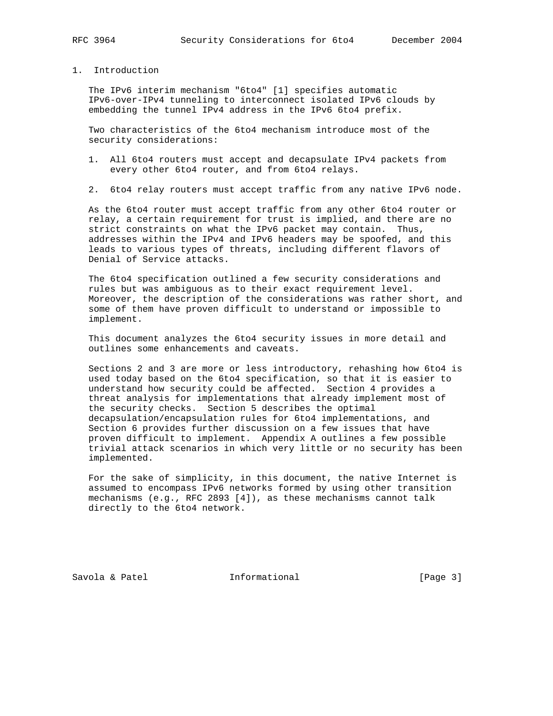## 1. Introduction

 The IPv6 interim mechanism "6to4" [1] specifies automatic IPv6-over-IPv4 tunneling to interconnect isolated IPv6 clouds by embedding the tunnel IPv4 address in the IPv6 6to4 prefix.

 Two characteristics of the 6to4 mechanism introduce most of the security considerations:

- 1. All 6to4 routers must accept and decapsulate IPv4 packets from every other 6to4 router, and from 6to4 relays.
- 2. 6to4 relay routers must accept traffic from any native IPv6 node.

 As the 6to4 router must accept traffic from any other 6to4 router or relay, a certain requirement for trust is implied, and there are no strict constraints on what the IPv6 packet may contain. Thus, addresses within the IPv4 and IPv6 headers may be spoofed, and this leads to various types of threats, including different flavors of Denial of Service attacks.

 The 6to4 specification outlined a few security considerations and rules but was ambiguous as to their exact requirement level. Moreover, the description of the considerations was rather short, and some of them have proven difficult to understand or impossible to implement.

 This document analyzes the 6to4 security issues in more detail and outlines some enhancements and caveats.

 Sections 2 and 3 are more or less introductory, rehashing how 6to4 is used today based on the 6to4 specification, so that it is easier to understand how security could be affected. Section 4 provides a threat analysis for implementations that already implement most of the security checks. Section 5 describes the optimal decapsulation/encapsulation rules for 6to4 implementations, and Section 6 provides further discussion on a few issues that have proven difficult to implement. Appendix A outlines a few possible trivial attack scenarios in which very little or no security has been implemented.

 For the sake of simplicity, in this document, the native Internet is assumed to encompass IPv6 networks formed by using other transition mechanisms (e.g., RFC 2893 [4]), as these mechanisms cannot talk directly to the 6to4 network.

Savola & Patel **Informational** [Page 3]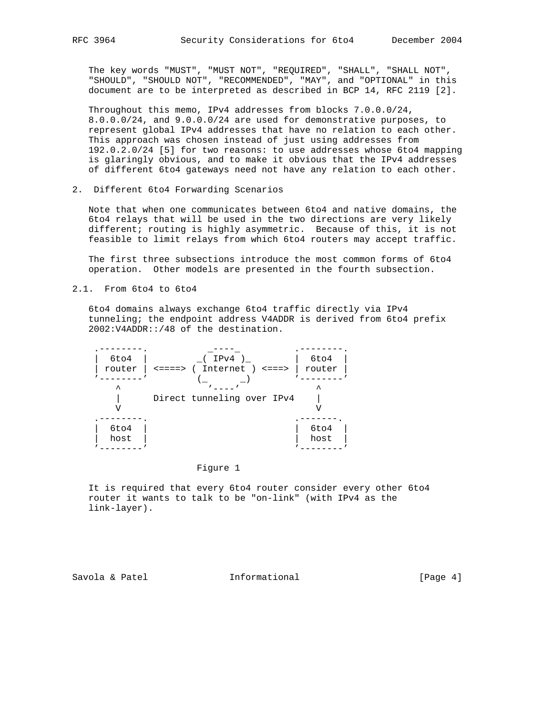The key words "MUST", "MUST NOT", "REQUIRED", "SHALL", "SHALL NOT", "SHOULD", "SHOULD NOT", "RECOMMENDED", "MAY", and "OPTIONAL" in this document are to be interpreted as described in BCP 14, RFC 2119 [2].

 Throughout this memo, IPv4 addresses from blocks 7.0.0.0/24, 8.0.0.0/24, and 9.0.0.0/24 are used for demonstrative purposes, to represent global IPv4 addresses that have no relation to each other. This approach was chosen instead of just using addresses from 192.0.2.0/24 [5] for two reasons: to use addresses whose 6to4 mapping is glaringly obvious, and to make it obvious that the IPv4 addresses of different 6to4 gateways need not have any relation to each other.

2. Different 6to4 Forwarding Scenarios

 Note that when one communicates between 6to4 and native domains, the 6to4 relays that will be used in the two directions are very likely different; routing is highly asymmetric. Because of this, it is not feasible to limit relays from which 6to4 routers may accept traffic.

 The first three subsections introduce the most common forms of 6to4 operation. Other models are presented in the fourth subsection.

2.1. From 6to4 to 6to4

 6to4 domains always exchange 6to4 traffic directly via IPv4 tunneling; the endpoint address V4ADDR is derived from 6to4 prefix 2002:V4ADDR::/48 of the destination.



## Figure 1

 It is required that every 6to4 router consider every other 6to4 router it wants to talk to be "on-link" (with IPv4 as the link-layer).

Savola & Patel **Informational** [Page 4]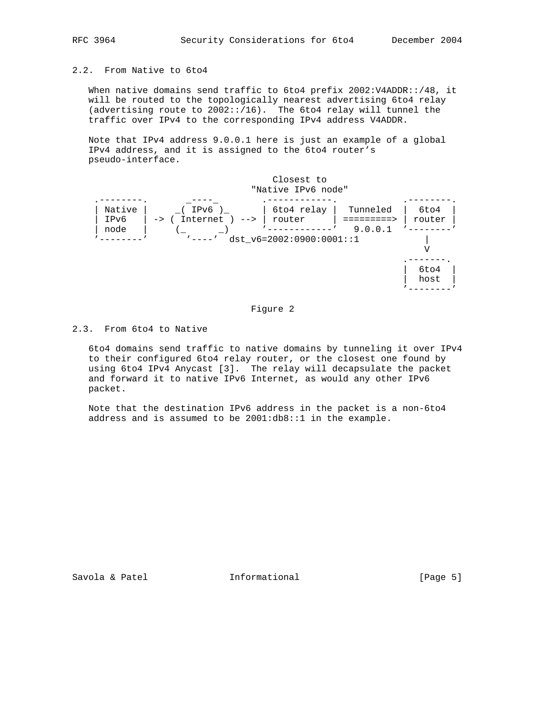# 2.2. From Native to 6to4

 When native domains send traffic to 6to4 prefix 2002:V4ADDR::/48, it will be routed to the topologically nearest advertising 6to4 relay (advertising route to 2002::/16). The 6to4 relay will tunnel the traffic over IPv4 to the corresponding IPv4 address V4ADDR.

 Note that IPv4 address 9.0.0.1 here is just an example of a global IPv4 address, and it is assigned to the 6to4 router's pseudo-interface.



# Figure 2

2.3. From 6to4 to Native

 6to4 domains send traffic to native domains by tunneling it over IPv4 to their configured 6to4 relay router, or the closest one found by using 6to4 IPv4 Anycast [3]. The relay will decapsulate the packet and forward it to native IPv6 Internet, as would any other IPv6 packet.

 Note that the destination IPv6 address in the packet is a non-6to4 address and is assumed to be 2001:db8::1 in the example.

Savola & Patel **Informational** [Page 5]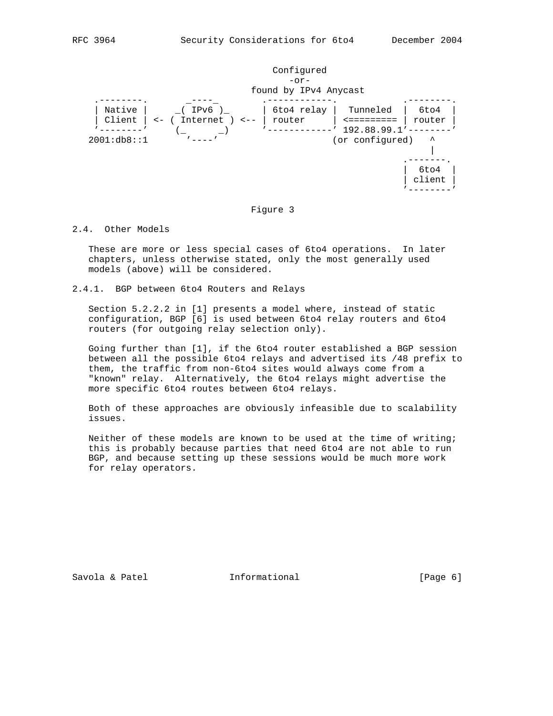

### Figure 3

## 2.4. Other Models

 These are more or less special cases of 6to4 operations. In later chapters, unless otherwise stated, only the most generally used models (above) will be considered.

2.4.1. BGP between 6to4 Routers and Relays

 Section 5.2.2.2 in [1] presents a model where, instead of static configuration, BGP [6] is used between 6to4 relay routers and 6to4 routers (for outgoing relay selection only).

 Going further than [1], if the 6to4 router established a BGP session between all the possible 6to4 relays and advertised its /48 prefix to them, the traffic from non-6to4 sites would always come from a "known" relay. Alternatively, the 6to4 relays might advertise the more specific 6to4 routes between 6to4 relays.

 Both of these approaches are obviously infeasible due to scalability issues.

 Neither of these models are known to be used at the time of writing; this is probably because parties that need 6to4 are not able to run BGP, and because setting up these sessions would be much more work for relay operators.

Savola & Patel **Informational** [Page 6]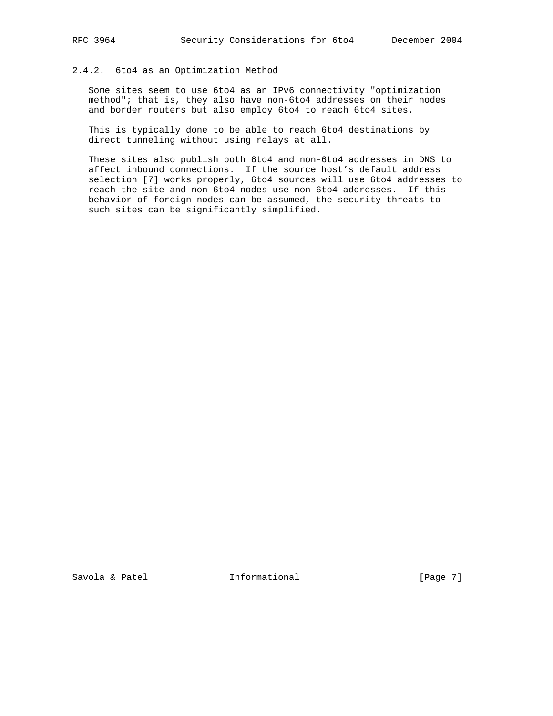# 2.4.2. 6to4 as an Optimization Method

 Some sites seem to use 6to4 as an IPv6 connectivity "optimization method"; that is, they also have non-6to4 addresses on their nodes and border routers but also employ 6to4 to reach 6to4 sites.

 This is typically done to be able to reach 6to4 destinations by direct tunneling without using relays at all.

 These sites also publish both 6to4 and non-6to4 addresses in DNS to affect inbound connections. If the source host's default address selection [7] works properly, 6to4 sources will use 6to4 addresses to reach the site and non-6to4 nodes use non-6to4 addresses. If this behavior of foreign nodes can be assumed, the security threats to such sites can be significantly simplified.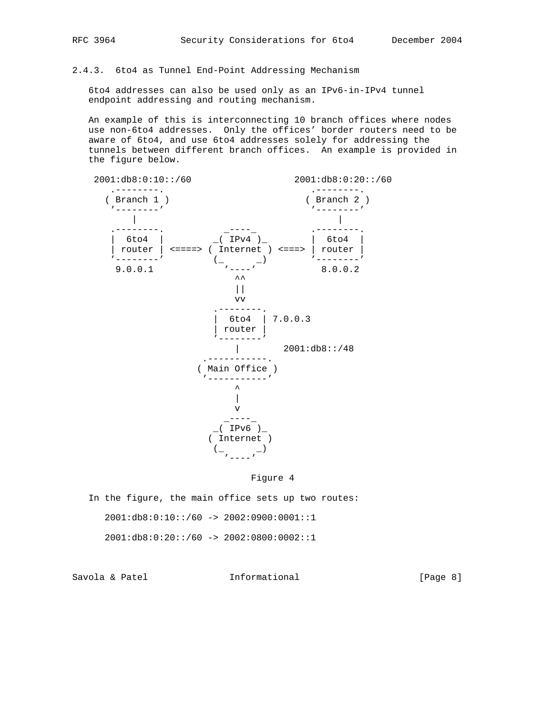# 2.4.3. 6to4 as Tunnel End-Point Addressing Mechanism

 6to4 addresses can also be used only as an IPv6-in-IPv4 tunnel endpoint addressing and routing mechanism.

 An example of this is interconnecting 10 branch offices where nodes use non-6to4 addresses. Only the offices' border routers need to be aware of 6to4, and use 6to4 addresses solely for addressing the tunnels between different branch offices. An example is provided in the figure below.



Figure 4

 In the figure, the main office sets up two routes:  $2001:db8:0:10::/60 -> 2002:0900:0001::1$  $2001:db8:0:20::/60 -> 2002:0800:0002::1$ 

Savola & Patel **Informational** [Page 8]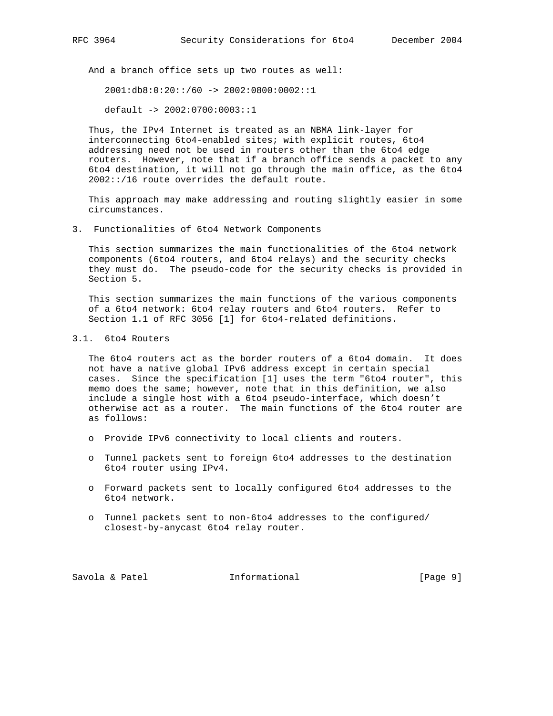And a branch office sets up two routes as well:

 $2001:db8:0:20::/60 -> 2002:0800:0002::1$ 

default -> 2002:0700:0003::1

 Thus, the IPv4 Internet is treated as an NBMA link-layer for interconnecting 6to4-enabled sites; with explicit routes, 6to4 addressing need not be used in routers other than the 6to4 edge routers. However, note that if a branch office sends a packet to any 6to4 destination, it will not go through the main office, as the 6to4 2002::/16 route overrides the default route.

 This approach may make addressing and routing slightly easier in some circumstances.

3. Functionalities of 6to4 Network Components

 This section summarizes the main functionalities of the 6to4 network components (6to4 routers, and 6to4 relays) and the security checks they must do. The pseudo-code for the security checks is provided in Section 5.

 This section summarizes the main functions of the various components of a 6to4 network: 6to4 relay routers and 6to4 routers. Refer to Section 1.1 of RFC 3056 [1] for 6to4-related definitions.

3.1. 6to4 Routers

 The 6to4 routers act as the border routers of a 6to4 domain. It does not have a native global IPv6 address except in certain special cases. Since the specification [1] uses the term "6to4 router", this memo does the same; however, note that in this definition, we also include a single host with a 6to4 pseudo-interface, which doesn't otherwise act as a router. The main functions of the 6to4 router are as follows:

- o Provide IPv6 connectivity to local clients and routers.
- o Tunnel packets sent to foreign 6to4 addresses to the destination 6to4 router using IPv4.
- o Forward packets sent to locally configured 6to4 addresses to the 6to4 network.
- o Tunnel packets sent to non-6to4 addresses to the configured/ closest-by-anycast 6to4 relay router.

Savola & Patel **Informational** (Page 9)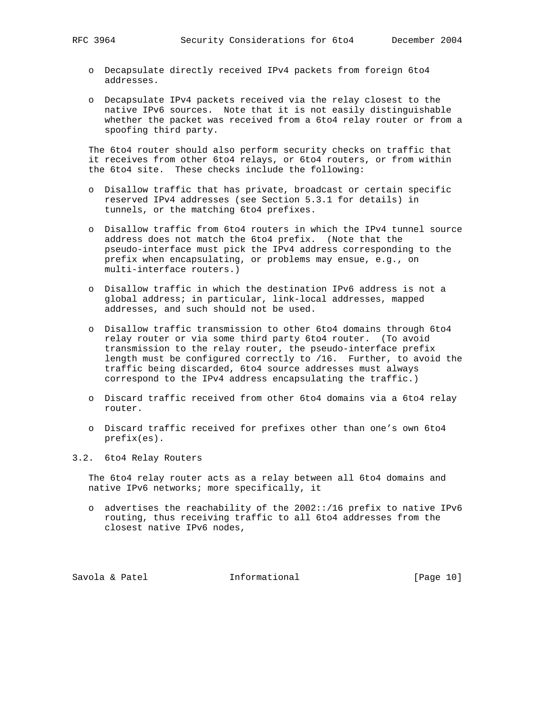- o Decapsulate directly received IPv4 packets from foreign 6to4 addresses.
- o Decapsulate IPv4 packets received via the relay closest to the native IPv6 sources. Note that it is not easily distinguishable whether the packet was received from a 6to4 relay router or from a spoofing third party.

 The 6to4 router should also perform security checks on traffic that it receives from other 6to4 relays, or 6to4 routers, or from within the 6to4 site. These checks include the following:

- o Disallow traffic that has private, broadcast or certain specific reserved IPv4 addresses (see Section 5.3.1 for details) in tunnels, or the matching 6to4 prefixes.
- o Disallow traffic from 6to4 routers in which the IPv4 tunnel source address does not match the 6to4 prefix. (Note that the pseudo-interface must pick the IPv4 address corresponding to the prefix when encapsulating, or problems may ensue, e.g., on multi-interface routers.)
- o Disallow traffic in which the destination IPv6 address is not a global address; in particular, link-local addresses, mapped addresses, and such should not be used.
- o Disallow traffic transmission to other 6to4 domains through 6to4 relay router or via some third party 6to4 router. (To avoid transmission to the relay router, the pseudo-interface prefix length must be configured correctly to /16. Further, to avoid the traffic being discarded, 6to4 source addresses must always correspond to the IPv4 address encapsulating the traffic.)
- o Discard traffic received from other 6to4 domains via a 6to4 relay router.
- o Discard traffic received for prefixes other than one's own 6to4 prefix(es).
- 3.2. 6to4 Relay Routers

 The 6to4 relay router acts as a relay between all 6to4 domains and native IPv6 networks; more specifically, it

 o advertises the reachability of the 2002::/16 prefix to native IPv6 routing, thus receiving traffic to all 6to4 addresses from the closest native IPv6 nodes,

Savola & Patel **Informational** [Page 10]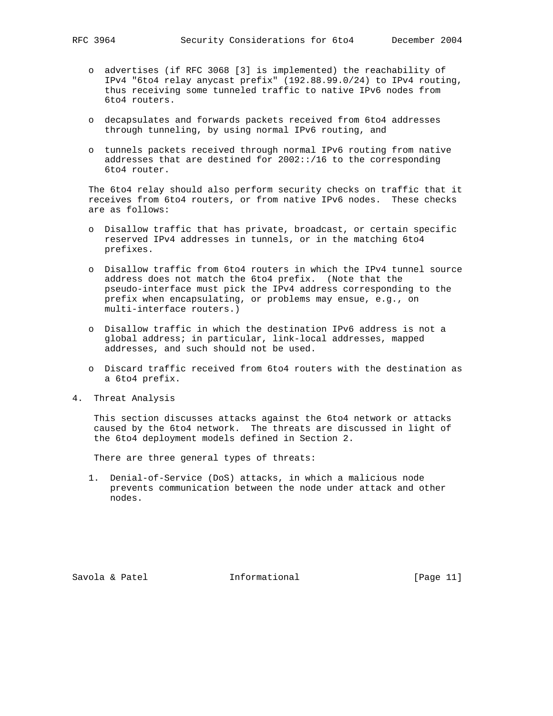- o advertises (if RFC 3068 [3] is implemented) the reachability of IPv4 "6to4 relay anycast prefix" (192.88.99.0/24) to IPv4 routing, thus receiving some tunneled traffic to native IPv6 nodes from 6to4 routers.
- o decapsulates and forwards packets received from 6to4 addresses through tunneling, by using normal IPv6 routing, and
- o tunnels packets received through normal IPv6 routing from native addresses that are destined for 2002::/16 to the corresponding 6to4 router.

 The 6to4 relay should also perform security checks on traffic that it receives from 6to4 routers, or from native IPv6 nodes. These checks are as follows:

- o Disallow traffic that has private, broadcast, or certain specific reserved IPv4 addresses in tunnels, or in the matching 6to4 prefixes.
- o Disallow traffic from 6to4 routers in which the IPv4 tunnel source address does not match the 6to4 prefix. (Note that the pseudo-interface must pick the IPv4 address corresponding to the prefix when encapsulating, or problems may ensue, e.g., on multi-interface routers.)
- o Disallow traffic in which the destination IPv6 address is not a global address; in particular, link-local addresses, mapped addresses, and such should not be used.
- o Discard traffic received from 6to4 routers with the destination as a 6to4 prefix.
- 4. Threat Analysis

 This section discusses attacks against the 6to4 network or attacks caused by the 6to4 network. The threats are discussed in light of the 6to4 deployment models defined in Section 2.

There are three general types of threats:

 1. Denial-of-Service (DoS) attacks, in which a malicious node prevents communication between the node under attack and other nodes.

Savola & Patel **Informational** [Page 11]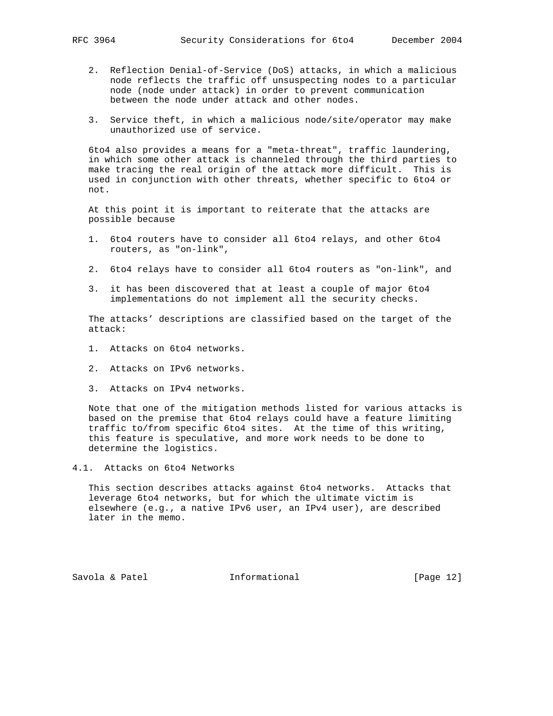- - 2. Reflection Denial-of-Service (DoS) attacks, in which a malicious node reflects the traffic off unsuspecting nodes to a particular node (node under attack) in order to prevent communication between the node under attack and other nodes.
	- 3. Service theft, in which a malicious node/site/operator may make unauthorized use of service.

 6to4 also provides a means for a "meta-threat", traffic laundering, in which some other attack is channeled through the third parties to make tracing the real origin of the attack more difficult. This is used in conjunction with other threats, whether specific to 6to4 or not.

 At this point it is important to reiterate that the attacks are possible because

- 1. 6to4 routers have to consider all 6to4 relays, and other 6to4 routers, as "on-link",
- 2. 6to4 relays have to consider all 6to4 routers as "on-link", and
- 3. it has been discovered that at least a couple of major 6to4 implementations do not implement all the security checks.

 The attacks' descriptions are classified based on the target of the attack:

- 1. Attacks on 6to4 networks.
- 2. Attacks on IPv6 networks.
- 3. Attacks on IPv4 networks.

 Note that one of the mitigation methods listed for various attacks is based on the premise that 6to4 relays could have a feature limiting traffic to/from specific 6to4 sites. At the time of this writing, this feature is speculative, and more work needs to be done to determine the logistics.

4.1. Attacks on 6to4 Networks

 This section describes attacks against 6to4 networks. Attacks that leverage 6to4 networks, but for which the ultimate victim is elsewhere (e.g., a native IPv6 user, an IPv4 user), are described later in the memo.

Savola & Patel **Informational** [Page 12]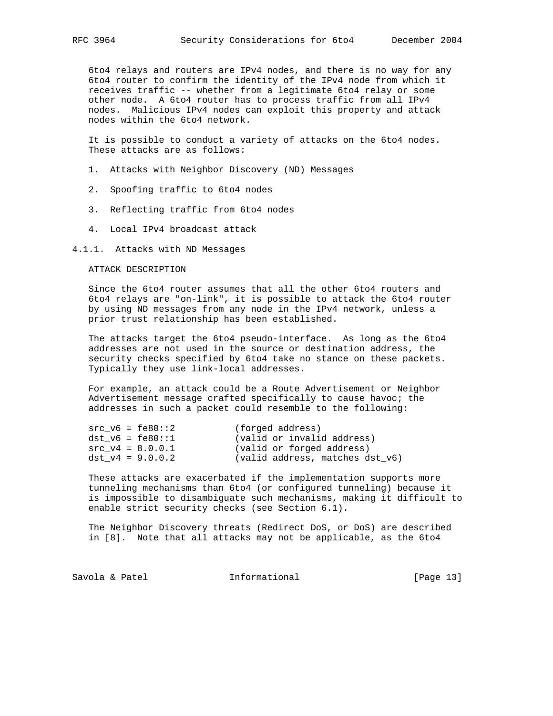6to4 relays and routers are IPv4 nodes, and there is no way for any 6to4 router to confirm the identity of the IPv4 node from which it receives traffic -- whether from a legitimate 6to4 relay or some other node. A 6to4 router has to process traffic from all IPv4 nodes. Malicious IPv4 nodes can exploit this property and attack nodes within the 6to4 network.

 It is possible to conduct a variety of attacks on the 6to4 nodes. These attacks are as follows:

- 1. Attacks with Neighbor Discovery (ND) Messages
- 2. Spoofing traffic to 6to4 nodes
- 3. Reflecting traffic from 6to4 nodes
- 4. Local IPv4 broadcast attack

#### 4.1.1. Attacks with ND Messages

## ATTACK DESCRIPTION

 Since the 6to4 router assumes that all the other 6to4 routers and 6to4 relays are "on-link", it is possible to attack the 6to4 router by using ND messages from any node in the IPv4 network, unless a prior trust relationship has been established.

 The attacks target the 6to4 pseudo-interface. As long as the 6to4 addresses are not used in the source or destination address, the security checks specified by 6to4 take no stance on these packets. Typically they use link-local addresses.

 For example, an attack could be a Route Advertisement or Neighbor Advertisement message crafted specifically to cause havoc; the addresses in such a packet could resemble to the following:

| $src\ v6 = fe80::2$ | (forged address)                |
|---------------------|---------------------------------|
| dst $v6 = fe80::1$  | (valid or invalid address)      |
| $src v4 = 8.0.0.1$  | (valid or forged address)       |
| dst $v4 = 9.0.0.2$  | (valid address, matches dst v6) |

 These attacks are exacerbated if the implementation supports more tunneling mechanisms than 6to4 (or configured tunneling) because it is impossible to disambiguate such mechanisms, making it difficult to enable strict security checks (see Section 6.1).

 The Neighbor Discovery threats (Redirect DoS, or DoS) are described in [8]. Note that all attacks may not be applicable, as the 6to4

Savola & Patel **Informational** [Page 13]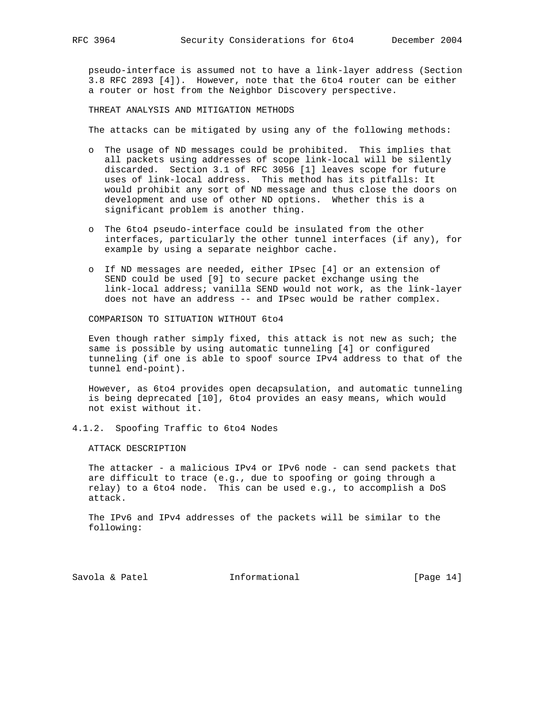pseudo-interface is assumed not to have a link-layer address (Section 3.8 RFC 2893 [4]). However, note that the 6to4 router can be either a router or host from the Neighbor Discovery perspective.

THREAT ANALYSIS AND MITIGATION METHODS

The attacks can be mitigated by using any of the following methods:

- o The usage of ND messages could be prohibited. This implies that all packets using addresses of scope link-local will be silently discarded. Section 3.1 of RFC 3056 [1] leaves scope for future uses of link-local address. This method has its pitfalls: It would prohibit any sort of ND message and thus close the doors on development and use of other ND options. Whether this is a significant problem is another thing.
- o The 6to4 pseudo-interface could be insulated from the other interfaces, particularly the other tunnel interfaces (if any), for example by using a separate neighbor cache.
- o If ND messages are needed, either IPsec [4] or an extension of SEND could be used [9] to secure packet exchange using the link-local address; vanilla SEND would not work, as the link-layer does not have an address -- and IPsec would be rather complex.

COMPARISON TO SITUATION WITHOUT 6to4

 Even though rather simply fixed, this attack is not new as such; the same is possible by using automatic tunneling [4] or configured tunneling (if one is able to spoof source IPv4 address to that of the tunnel end-point).

 However, as 6to4 provides open decapsulation, and automatic tunneling is being deprecated [10], 6to4 provides an easy means, which would not exist without it.

4.1.2. Spoofing Traffic to 6to4 Nodes

ATTACK DESCRIPTION

 The attacker - a malicious IPv4 or IPv6 node - can send packets that are difficult to trace (e.g., due to spoofing or going through a relay) to a 6to4 node. This can be used e.g., to accomplish a DoS attack.

 The IPv6 and IPv4 addresses of the packets will be similar to the following:

Savola & Patel **Informational** [Page 14]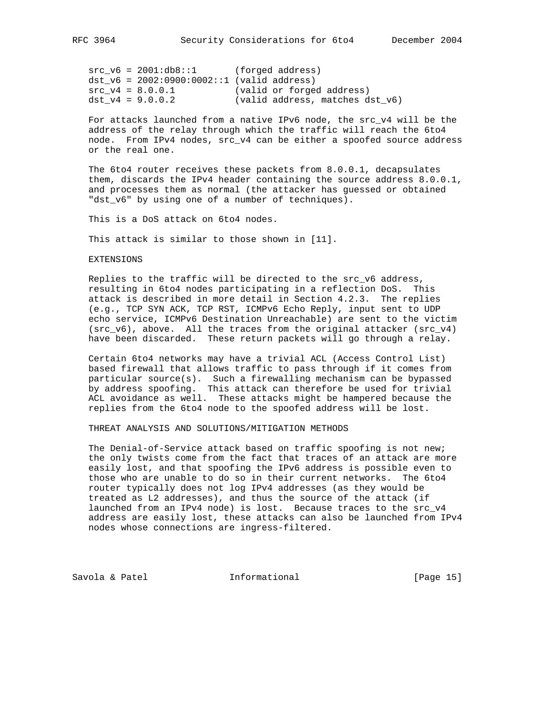$src_v6 = 2001:db8::1$  (forged address)  $dst_v6 = 2002:0900:0002::1$  (valid address) src\_v4 = 8.0.0.1 (valid or forged address) dst\_v4 = 9.0.0.2 (valid address, matches dst\_v6)

 For attacks launched from a native IPv6 node, the src\_v4 will be the address of the relay through which the traffic will reach the 6to4 node. From IPv4 nodes, src\_v4 can be either a spoofed source address or the real one.

 The 6to4 router receives these packets from 8.0.0.1, decapsulates them, discards the IPv4 header containing the source address 8.0.0.1, and processes them as normal (the attacker has guessed or obtained "dst\_v6" by using one of a number of techniques).

This is a DoS attack on 6to4 nodes.

This attack is similar to those shown in [11].

EXTENSIONS

 Replies to the traffic will be directed to the src\_v6 address, resulting in 6to4 nodes participating in a reflection DoS. This attack is described in more detail in Section 4.2.3. The replies (e.g., TCP SYN ACK, TCP RST, ICMPv6 Echo Reply, input sent to UDP echo service, ICMPv6 Destination Unreachable) are sent to the victim (src\_v6), above. All the traces from the original attacker (src\_v4) have been discarded. These return packets will go through a relay.

 Certain 6to4 networks may have a trivial ACL (Access Control List) based firewall that allows traffic to pass through if it comes from particular source(s). Such a firewalling mechanism can be bypassed by address spoofing. This attack can therefore be used for trivial ACL avoidance as well. These attacks might be hampered because the replies from the 6to4 node to the spoofed address will be lost.

THREAT ANALYSIS AND SOLUTIONS/MITIGATION METHODS

 The Denial-of-Service attack based on traffic spoofing is not new; the only twists come from the fact that traces of an attack are more easily lost, and that spoofing the IPv6 address is possible even to those who are unable to do so in their current networks. The 6to4 router typically does not log IPv4 addresses (as they would be treated as L2 addresses), and thus the source of the attack (if launched from an IPv4 node) is lost. Because traces to the src\_v4 address are easily lost, these attacks can also be launched from IPv4 nodes whose connections are ingress-filtered.

Savola & Patel **Informational** [Page 15]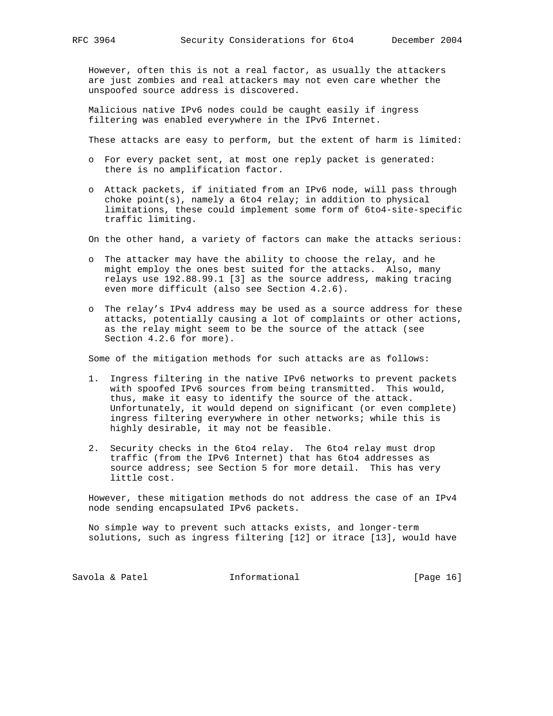However, often this is not a real factor, as usually the attackers are just zombies and real attackers may not even care whether the unspoofed source address is discovered.

 Malicious native IPv6 nodes could be caught easily if ingress filtering was enabled everywhere in the IPv6 Internet.

These attacks are easy to perform, but the extent of harm is limited:

- o For every packet sent, at most one reply packet is generated: there is no amplification factor.
- o Attack packets, if initiated from an IPv6 node, will pass through choke point(s), namely a 6to4 relay; in addition to physical limitations, these could implement some form of 6to4-site-specific traffic limiting.
- On the other hand, a variety of factors can make the attacks serious:
- o The attacker may have the ability to choose the relay, and he might employ the ones best suited for the attacks. Also, many relays use 192.88.99.1 [3] as the source address, making tracing even more difficult (also see Section 4.2.6).
- o The relay's IPv4 address may be used as a source address for these attacks, potentially causing a lot of complaints or other actions, as the relay might seem to be the source of the attack (see Section 4.2.6 for more).

Some of the mitigation methods for such attacks are as follows:

- 1. Ingress filtering in the native IPv6 networks to prevent packets with spoofed IPv6 sources from being transmitted. This would, thus, make it easy to identify the source of the attack. Unfortunately, it would depend on significant (or even complete) ingress filtering everywhere in other networks; while this is highly desirable, it may not be feasible.
- 2. Security checks in the 6to4 relay. The 6to4 relay must drop traffic (from the IPv6 Internet) that has 6to4 addresses as source address; see Section 5 for more detail. This has very little cost.

 However, these mitigation methods do not address the case of an IPv4 node sending encapsulated IPv6 packets.

 No simple way to prevent such attacks exists, and longer-term solutions, such as ingress filtering [12] or itrace [13], would have

Savola & Patel **Informational** [Page 16]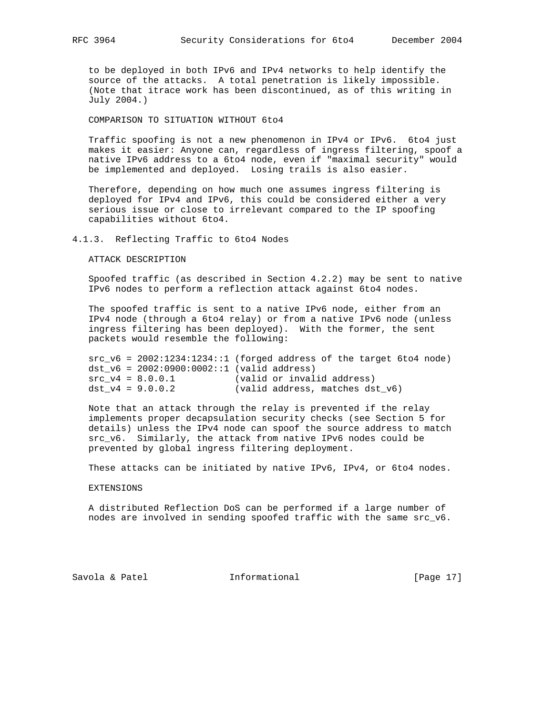to be deployed in both IPv6 and IPv4 networks to help identify the source of the attacks. A total penetration is likely impossible. (Note that itrace work has been discontinued, as of this writing in July 2004.)

COMPARISON TO SITUATION WITHOUT 6to4

 Traffic spoofing is not a new phenomenon in IPv4 or IPv6. 6to4 just makes it easier: Anyone can, regardless of ingress filtering, spoof a native IPv6 address to a 6to4 node, even if "maximal security" would be implemented and deployed. Losing trails is also easier.

 Therefore, depending on how much one assumes ingress filtering is deployed for IPv4 and IPv6, this could be considered either a very serious issue or close to irrelevant compared to the IP spoofing capabilities without 6to4.

## 4.1.3. Reflecting Traffic to 6to4 Nodes

ATTACK DESCRIPTION

 Spoofed traffic (as described in Section 4.2.2) may be sent to native IPv6 nodes to perform a reflection attack against 6to4 nodes.

 The spoofed traffic is sent to a native IPv6 node, either from an IPv4 node (through a 6to4 relay) or from a native IPv6 node (unless ingress filtering has been deployed). With the former, the sent packets would resemble the following:

 $src_y6 = 2002:1234:1234:1$  (forged address of the target 6to4 node) dst  $v6 = 2002:0900:0002::1$  (valid address) src\_v4 = 8.0.0.1 (valid or invalid address) dst\_v4 = 9.0.0.2 (valid address, matches dst\_v6)

 Note that an attack through the relay is prevented if the relay implements proper decapsulation security checks (see Section 5 for details) unless the IPv4 node can spoof the source address to match src\_v6. Similarly, the attack from native IPv6 nodes could be prevented by global ingress filtering deployment.

These attacks can be initiated by native IPv6, IPv4, or 6to4 nodes.

### EXTENSIONS

 A distributed Reflection DoS can be performed if a large number of nodes are involved in sending spoofed traffic with the same src\_v6.

Savola & Patel **Informational** [Page 17]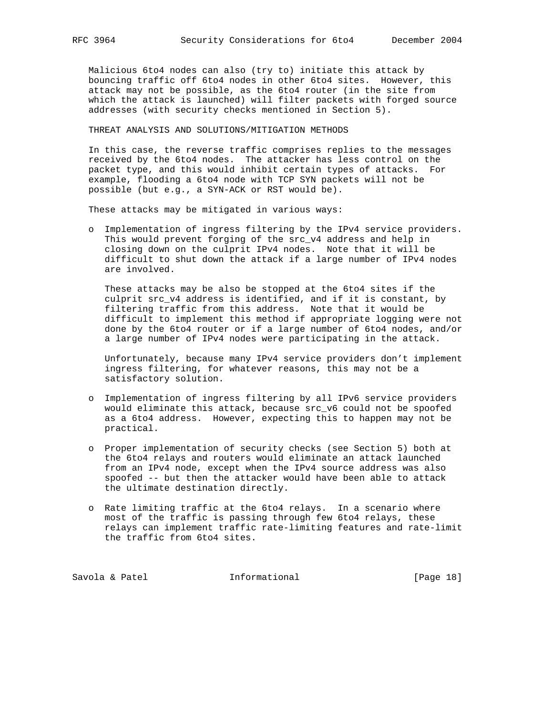Malicious 6to4 nodes can also (try to) initiate this attack by bouncing traffic off 6to4 nodes in other 6to4 sites. However, this attack may not be possible, as the 6to4 router (in the site from which the attack is launched) will filter packets with forged source addresses (with security checks mentioned in Section 5).

THREAT ANALYSIS AND SOLUTIONS/MITIGATION METHODS

 In this case, the reverse traffic comprises replies to the messages received by the 6to4 nodes. The attacker has less control on the packet type, and this would inhibit certain types of attacks. For example, flooding a 6to4 node with TCP SYN packets will not be possible (but e.g., a SYN-ACK or RST would be).

These attacks may be mitigated in various ways:

 o Implementation of ingress filtering by the IPv4 service providers. This would prevent forging of the src\_v4 address and help in closing down on the culprit IPv4 nodes. Note that it will be difficult to shut down the attack if a large number of IPv4 nodes are involved.

 These attacks may be also be stopped at the 6to4 sites if the culprit src\_v4 address is identified, and if it is constant, by filtering traffic from this address. Note that it would be difficult to implement this method if appropriate logging were not done by the 6to4 router or if a large number of 6to4 nodes, and/or a large number of IPv4 nodes were participating in the attack.

 Unfortunately, because many IPv4 service providers don't implement ingress filtering, for whatever reasons, this may not be a satisfactory solution.

- o Implementation of ingress filtering by all IPv6 service providers would eliminate this attack, because src\_v6 could not be spoofed as a 6to4 address. However, expecting this to happen may not be practical.
- o Proper implementation of security checks (see Section 5) both at the 6to4 relays and routers would eliminate an attack launched from an IPv4 node, except when the IPv4 source address was also spoofed -- but then the attacker would have been able to attack the ultimate destination directly.
- o Rate limiting traffic at the 6to4 relays. In a scenario where most of the traffic is passing through few 6to4 relays, these relays can implement traffic rate-limiting features and rate-limit the traffic from 6to4 sites.

Savola & Patel **Informational** [Page 18]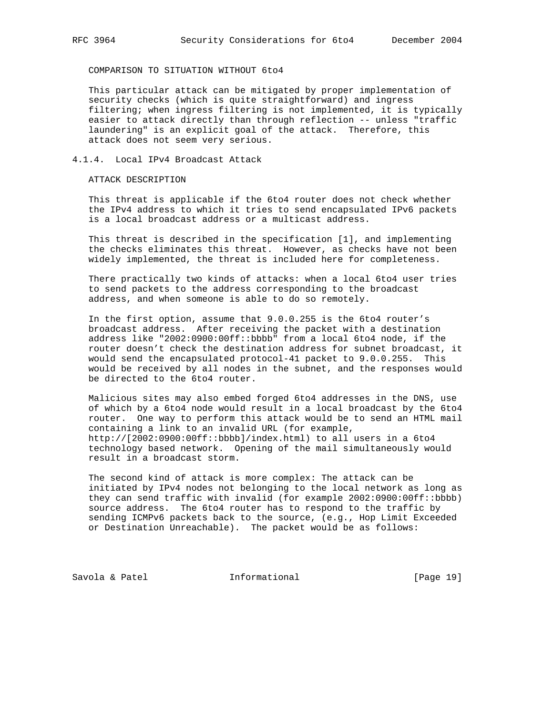COMPARISON TO SITUATION WITHOUT 6to4

 This particular attack can be mitigated by proper implementation of security checks (which is quite straightforward) and ingress filtering; when ingress filtering is not implemented, it is typically easier to attack directly than through reflection -- unless "traffic laundering" is an explicit goal of the attack. Therefore, this attack does not seem very serious.

## 4.1.4. Local IPv4 Broadcast Attack

ATTACK DESCRIPTION

 This threat is applicable if the 6to4 router does not check whether the IPv4 address to which it tries to send encapsulated IPv6 packets is a local broadcast address or a multicast address.

 This threat is described in the specification [1], and implementing the checks eliminates this threat. However, as checks have not been widely implemented, the threat is included here for completeness.

 There practically two kinds of attacks: when a local 6to4 user tries to send packets to the address corresponding to the broadcast address, and when someone is able to do so remotely.

 In the first option, assume that 9.0.0.255 is the 6to4 router's broadcast address. After receiving the packet with a destination address like "2002:0900:00ff::bbbb" from a local 6to4 node, if the router doesn't check the destination address for subnet broadcast, it would send the encapsulated protocol-41 packet to 9.0.0.255. This would be received by all nodes in the subnet, and the responses would be directed to the 6to4 router.

 Malicious sites may also embed forged 6to4 addresses in the DNS, use of which by a 6to4 node would result in a local broadcast by the 6to4 router. One way to perform this attack would be to send an HTML mail containing a link to an invalid URL (for example, http://[2002:0900:00ff::bbbb]/index.html) to all users in a 6to4 technology based network. Opening of the mail simultaneously would result in a broadcast storm.

 The second kind of attack is more complex: The attack can be initiated by IPv4 nodes not belonging to the local network as long as they can send traffic with invalid (for example 2002:0900:00ff::bbbb) source address. The 6to4 router has to respond to the traffic by sending ICMPv6 packets back to the source, (e.g., Hop Limit Exceeded or Destination Unreachable). The packet would be as follows:

Savola & Patel **Informational** [Page 19]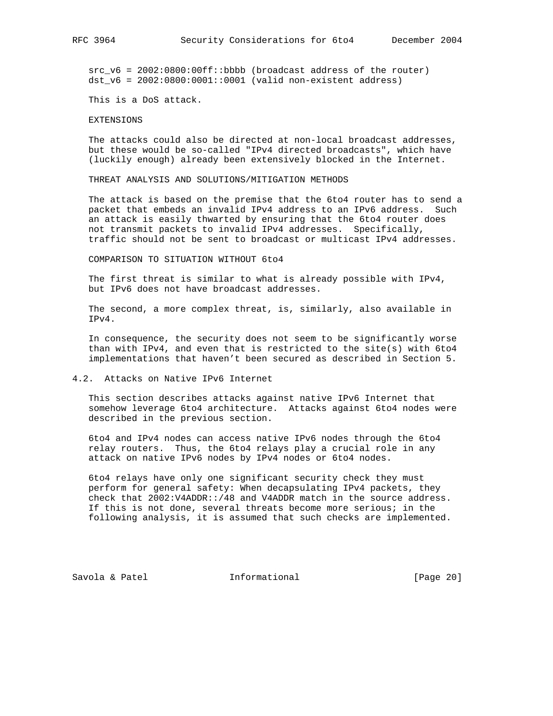src\_v6 = 2002:0800:00ff::bbbb (broadcast address of the router) dst\_v6 = 2002:0800:0001::0001 (valid non-existent address)

This is a DoS attack.

#### EXTENSIONS

 The attacks could also be directed at non-local broadcast addresses, but these would be so-called "IPv4 directed broadcasts", which have (luckily enough) already been extensively blocked in the Internet.

THREAT ANALYSIS AND SOLUTIONS/MITIGATION METHODS

 The attack is based on the premise that the 6to4 router has to send a packet that embeds an invalid IPv4 address to an IPv6 address. Such an attack is easily thwarted by ensuring that the 6to4 router does not transmit packets to invalid IPv4 addresses. Specifically, traffic should not be sent to broadcast or multicast IPv4 addresses.

COMPARISON TO SITUATION WITHOUT 6to4

 The first threat is similar to what is already possible with IPv4, but IPv6 does not have broadcast addresses.

 The second, a more complex threat, is, similarly, also available in IPv4.

 In consequence, the security does not seem to be significantly worse than with IPv4, and even that is restricted to the site(s) with 6to4 implementations that haven't been secured as described in Section 5.

#### 4.2. Attacks on Native IPv6 Internet

 This section describes attacks against native IPv6 Internet that somehow leverage 6to4 architecture. Attacks against 6to4 nodes were described in the previous section.

 6to4 and IPv4 nodes can access native IPv6 nodes through the 6to4 relay routers. Thus, the 6to4 relays play a crucial role in any attack on native IPv6 nodes by IPv4 nodes or 6to4 nodes.

 6to4 relays have only one significant security check they must perform for general safety: When decapsulating IPv4 packets, they check that 2002:V4ADDR::/48 and V4ADDR match in the source address. If this is not done, several threats become more serious; in the following analysis, it is assumed that such checks are implemented.

Savola & Patel **Informational** [Page 20]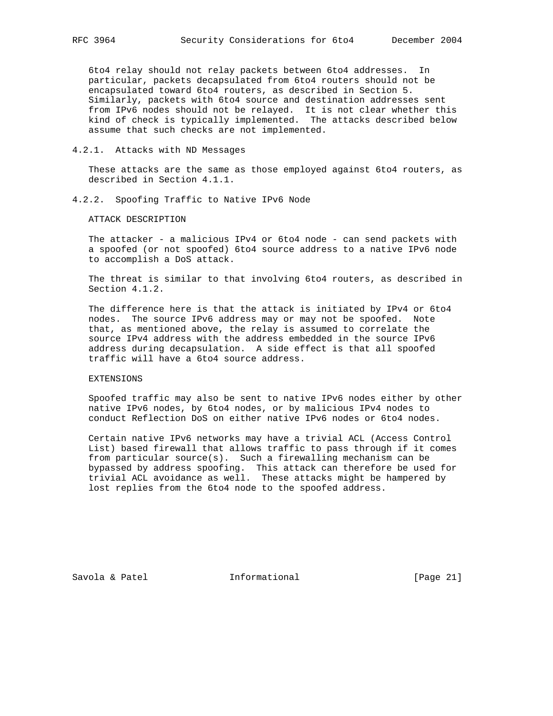6to4 relay should not relay packets between 6to4 addresses. In particular, packets decapsulated from 6to4 routers should not be encapsulated toward 6to4 routers, as described in Section 5. Similarly, packets with 6to4 source and destination addresses sent from IPv6 nodes should not be relayed. It is not clear whether this kind of check is typically implemented. The attacks described below assume that such checks are not implemented.

## 4.2.1. Attacks with ND Messages

 These attacks are the same as those employed against 6to4 routers, as described in Section 4.1.1.

4.2.2. Spoofing Traffic to Native IPv6 Node

ATTACK DESCRIPTION

 The attacker - a malicious IPv4 or 6to4 node - can send packets with a spoofed (or not spoofed) 6to4 source address to a native IPv6 node to accomplish a DoS attack.

 The threat is similar to that involving 6to4 routers, as described in Section 4.1.2.

 The difference here is that the attack is initiated by IPv4 or 6to4 nodes. The source IPv6 address may or may not be spoofed. Note that, as mentioned above, the relay is assumed to correlate the source IPv4 address with the address embedded in the source IPv6 address during decapsulation. A side effect is that all spoofed traffic will have a 6to4 source address.

## EXTENSIONS

 Spoofed traffic may also be sent to native IPv6 nodes either by other native IPv6 nodes, by 6to4 nodes, or by malicious IPv4 nodes to conduct Reflection DoS on either native IPv6 nodes or 6to4 nodes.

 Certain native IPv6 networks may have a trivial ACL (Access Control List) based firewall that allows traffic to pass through if it comes from particular source(s). Such a firewalling mechanism can be bypassed by address spoofing. This attack can therefore be used for trivial ACL avoidance as well. These attacks might be hampered by lost replies from the 6to4 node to the spoofed address.

Savola & Patel **Informational** [Page 21]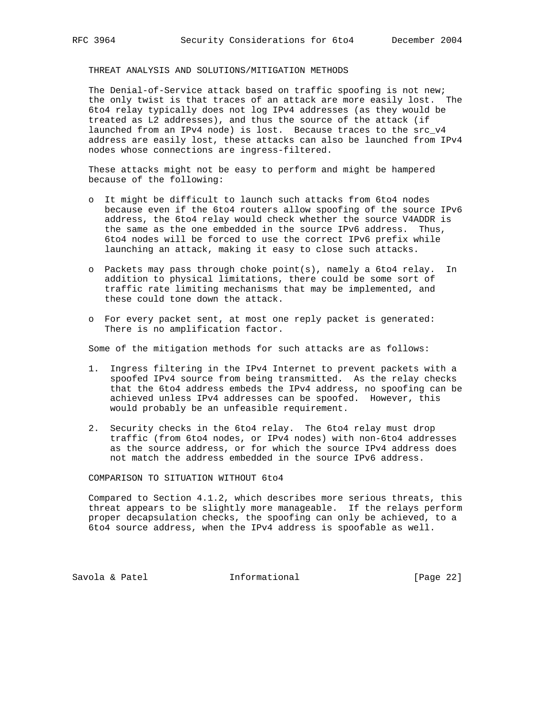# THREAT ANALYSIS AND SOLUTIONS/MITIGATION METHODS

 The Denial-of-Service attack based on traffic spoofing is not new; the only twist is that traces of an attack are more easily lost. The 6to4 relay typically does not log IPv4 addresses (as they would be treated as L2 addresses), and thus the source of the attack (if launched from an IPv4 node) is lost. Because traces to the src\_v4 address are easily lost, these attacks can also be launched from IPv4 nodes whose connections are ingress-filtered.

 These attacks might not be easy to perform and might be hampered because of the following:

- o It might be difficult to launch such attacks from 6to4 nodes because even if the 6to4 routers allow spoofing of the source IPv6 address, the 6to4 relay would check whether the source V4ADDR is the same as the one embedded in the source IPv6 address. Thus, 6to4 nodes will be forced to use the correct IPv6 prefix while launching an attack, making it easy to close such attacks.
- o Packets may pass through choke point(s), namely a 6to4 relay. In addition to physical limitations, there could be some sort of traffic rate limiting mechanisms that may be implemented, and these could tone down the attack.
- o For every packet sent, at most one reply packet is generated: There is no amplification factor.

Some of the mitigation methods for such attacks are as follows:

- 1. Ingress filtering in the IPv4 Internet to prevent packets with a spoofed IPv4 source from being transmitted. As the relay checks that the 6to4 address embeds the IPv4 address, no spoofing can be achieved unless IPv4 addresses can be spoofed. However, this would probably be an unfeasible requirement.
- 2. Security checks in the 6to4 relay. The 6to4 relay must drop traffic (from 6to4 nodes, or IPv4 nodes) with non-6to4 addresses as the source address, or for which the source IPv4 address does not match the address embedded in the source IPv6 address.

COMPARISON TO SITUATION WITHOUT 6to4

 Compared to Section 4.1.2, which describes more serious threats, this threat appears to be slightly more manageable. If the relays perform proper decapsulation checks, the spoofing can only be achieved, to a 6to4 source address, when the IPv4 address is spoofable as well.

Savola & Patel **Informational** [Page 22]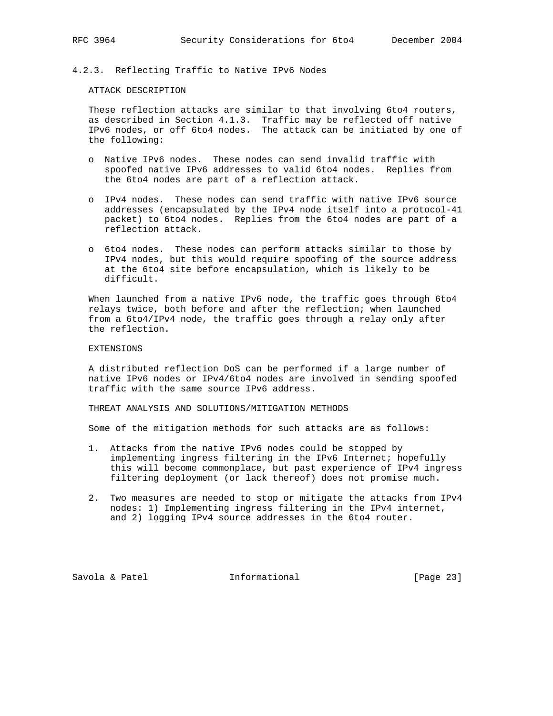# 4.2.3. Reflecting Traffic to Native IPv6 Nodes

## ATTACK DESCRIPTION

 These reflection attacks are similar to that involving 6to4 routers, as described in Section 4.1.3. Traffic may be reflected off native IPv6 nodes, or off 6to4 nodes. The attack can be initiated by one of the following:

- o Native IPv6 nodes. These nodes can send invalid traffic with spoofed native IPv6 addresses to valid 6to4 nodes. Replies from the 6to4 nodes are part of a reflection attack.
- o IPv4 nodes. These nodes can send traffic with native IPv6 source addresses (encapsulated by the IPv4 node itself into a protocol-41 packet) to 6to4 nodes. Replies from the 6to4 nodes are part of a reflection attack.
- o 6to4 nodes. These nodes can perform attacks similar to those by IPv4 nodes, but this would require spoofing of the source address at the 6to4 site before encapsulation, which is likely to be difficult.

 When launched from a native IPv6 node, the traffic goes through 6to4 relays twice, both before and after the reflection; when launched from a 6to4/IPv4 node, the traffic goes through a relay only after the reflection.

## EXTENSIONS

 A distributed reflection DoS can be performed if a large number of native IPv6 nodes or IPv4/6to4 nodes are involved in sending spoofed traffic with the same source IPv6 address.

THREAT ANALYSIS AND SOLUTIONS/MITIGATION METHODS

Some of the mitigation methods for such attacks are as follows:

- 1. Attacks from the native IPv6 nodes could be stopped by implementing ingress filtering in the IPv6 Internet; hopefully this will become commonplace, but past experience of IPv4 ingress filtering deployment (or lack thereof) does not promise much.
- 2. Two measures are needed to stop or mitigate the attacks from IPv4 nodes: 1) Implementing ingress filtering in the IPv4 internet, and 2) logging IPv4 source addresses in the 6to4 router.

Savola & Patel **Informational** [Page 23]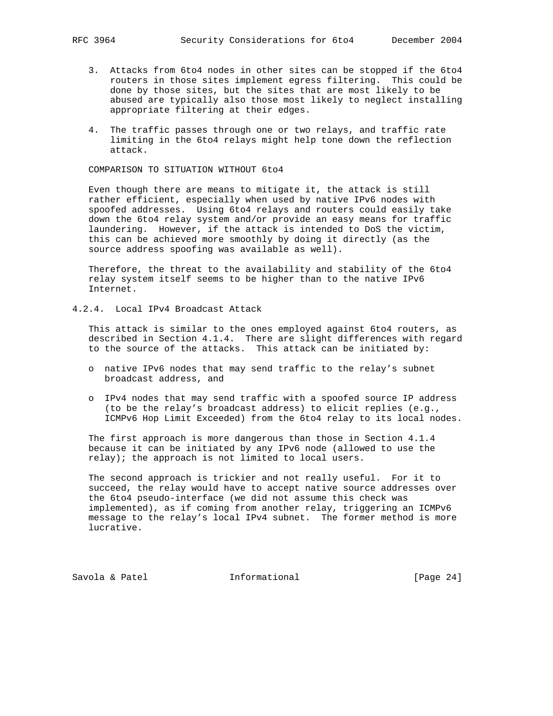- 3. Attacks from 6to4 nodes in other sites can be stopped if the 6to4 routers in those sites implement egress filtering. This could be done by those sites, but the sites that are most likely to be abused are typically also those most likely to neglect installing appropriate filtering at their edges.
- 4. The traffic passes through one or two relays, and traffic rate limiting in the 6to4 relays might help tone down the reflection attack.

COMPARISON TO SITUATION WITHOUT 6to4

 Even though there are means to mitigate it, the attack is still rather efficient, especially when used by native IPv6 nodes with spoofed addresses. Using 6to4 relays and routers could easily take down the 6to4 relay system and/or provide an easy means for traffic laundering. However, if the attack is intended to DoS the victim, this can be achieved more smoothly by doing it directly (as the source address spoofing was available as well).

 Therefore, the threat to the availability and stability of the 6to4 relay system itself seems to be higher than to the native IPv6 Internet.

4.2.4. Local IPv4 Broadcast Attack

 This attack is similar to the ones employed against 6to4 routers, as described in Section 4.1.4. There are slight differences with regard to the source of the attacks. This attack can be initiated by:

- o native IPv6 nodes that may send traffic to the relay's subnet broadcast address, and
- o IPv4 nodes that may send traffic with a spoofed source IP address (to be the relay's broadcast address) to elicit replies (e.g., ICMPv6 Hop Limit Exceeded) from the 6to4 relay to its local nodes.

 The first approach is more dangerous than those in Section 4.1.4 because it can be initiated by any IPv6 node (allowed to use the relay); the approach is not limited to local users.

 The second approach is trickier and not really useful. For it to succeed, the relay would have to accept native source addresses over the 6to4 pseudo-interface (we did not assume this check was implemented), as if coming from another relay, triggering an ICMPv6 message to the relay's local IPv4 subnet. The former method is more lucrative.

Savola & Patel **Informational** [Page 24]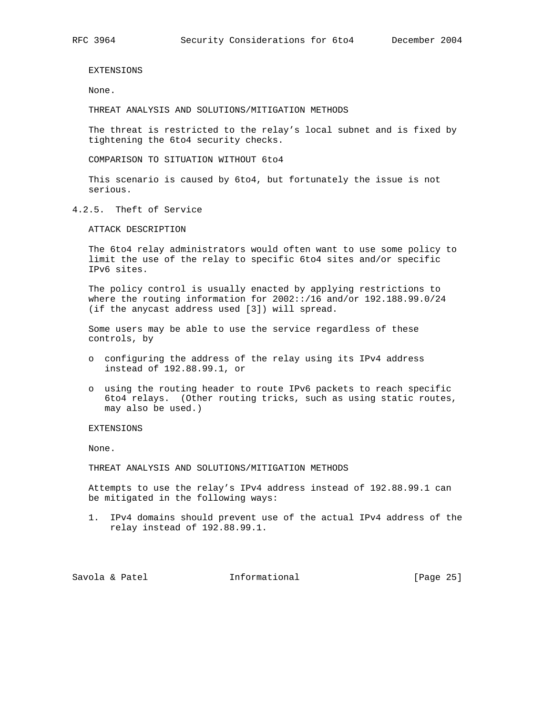EXTENSIONS

None.

THREAT ANALYSIS AND SOLUTIONS/MITIGATION METHODS

 The threat is restricted to the relay's local subnet and is fixed by tightening the 6to4 security checks.

COMPARISON TO SITUATION WITHOUT 6to4

 This scenario is caused by 6to4, but fortunately the issue is not serious.

4.2.5. Theft of Service

ATTACK DESCRIPTION

 The 6to4 relay administrators would often want to use some policy to limit the use of the relay to specific 6to4 sites and/or specific IPv6 sites.

 The policy control is usually enacted by applying restrictions to where the routing information for 2002::/16 and/or 192.188.99.0/24 (if the anycast address used [3]) will spread.

 Some users may be able to use the service regardless of these controls, by

- o configuring the address of the relay using its IPv4 address instead of 192.88.99.1, or
- o using the routing header to route IPv6 packets to reach specific 6to4 relays. (Other routing tricks, such as using static routes, may also be used.)

## EXTENSIONS

None.

THREAT ANALYSIS AND SOLUTIONS/MITIGATION METHODS

 Attempts to use the relay's IPv4 address instead of 192.88.99.1 can be mitigated in the following ways:

 1. IPv4 domains should prevent use of the actual IPv4 address of the relay instead of 192.88.99.1.

Savola & Patel **Informational** [Page 25]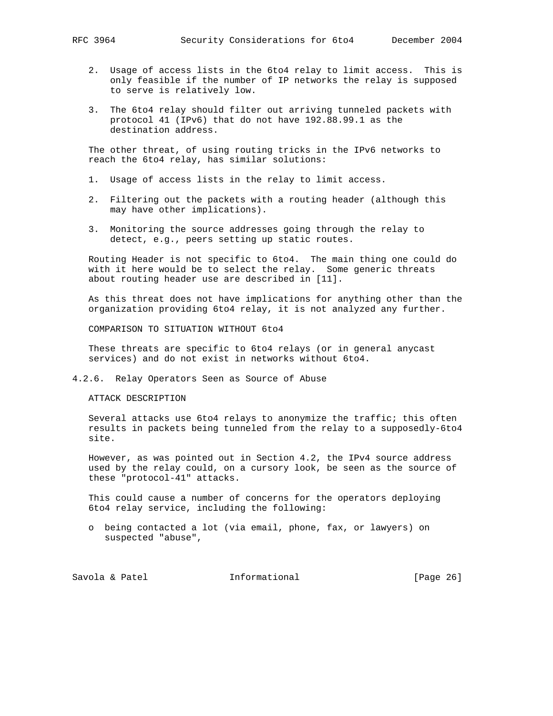- - 2. Usage of access lists in the 6to4 relay to limit access. This is only feasible if the number of IP networks the relay is supposed to serve is relatively low.
	- 3. The 6to4 relay should filter out arriving tunneled packets with protocol 41 (IPv6) that do not have 192.88.99.1 as the destination address.

 The other threat, of using routing tricks in the IPv6 networks to reach the 6to4 relay, has similar solutions:

- 1. Usage of access lists in the relay to limit access.
- 2. Filtering out the packets with a routing header (although this may have other implications).
- 3. Monitoring the source addresses going through the relay to detect, e.g., peers setting up static routes.

 Routing Header is not specific to 6to4. The main thing one could do with it here would be to select the relay. Some generic threats about routing header use are described in [11].

 As this threat does not have implications for anything other than the organization providing 6to4 relay, it is not analyzed any further.

COMPARISON TO SITUATION WITHOUT 6to4

 These threats are specific to 6to4 relays (or in general anycast services) and do not exist in networks without 6to4.

4.2.6. Relay Operators Seen as Source of Abuse

ATTACK DESCRIPTION

 Several attacks use 6to4 relays to anonymize the traffic; this often results in packets being tunneled from the relay to a supposedly-6to4 site.

 However, as was pointed out in Section 4.2, the IPv4 source address used by the relay could, on a cursory look, be seen as the source of these "protocol-41" attacks.

 This could cause a number of concerns for the operators deploying 6to4 relay service, including the following:

 o being contacted a lot (via email, phone, fax, or lawyers) on suspected "abuse",

Savola & Patel **Informational** [Page 26]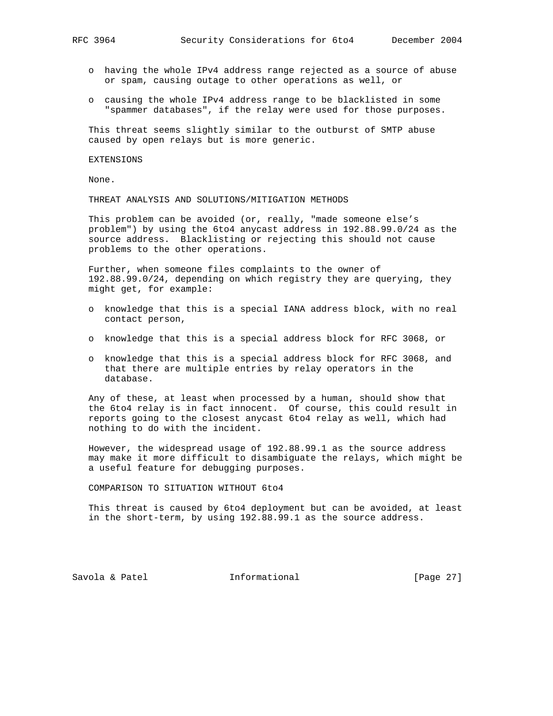- o having the whole IPv4 address range rejected as a source of abuse or spam, causing outage to other operations as well, or
- o causing the whole IPv4 address range to be blacklisted in some "spammer databases", if the relay were used for those purposes.

 This threat seems slightly similar to the outburst of SMTP abuse caused by open relays but is more generic.

#### EXTENSIONS

None.

THREAT ANALYSIS AND SOLUTIONS/MITIGATION METHODS

 This problem can be avoided (or, really, "made someone else's problem") by using the 6to4 anycast address in 192.88.99.0/24 as the source address. Blacklisting or rejecting this should not cause problems to the other operations.

 Further, when someone files complaints to the owner of 192.88.99.0/24, depending on which registry they are querying, they might get, for example:

- o knowledge that this is a special IANA address block, with no real contact person,
- o knowledge that this is a special address block for RFC 3068, or
- o knowledge that this is a special address block for RFC 3068, and that there are multiple entries by relay operators in the database.

 Any of these, at least when processed by a human, should show that the 6to4 relay is in fact innocent. Of course, this could result in reports going to the closest anycast 6to4 relay as well, which had nothing to do with the incident.

 However, the widespread usage of 192.88.99.1 as the source address may make it more difficult to disambiguate the relays, which might be a useful feature for debugging purposes.

COMPARISON TO SITUATION WITHOUT 6to4

 This threat is caused by 6to4 deployment but can be avoided, at least in the short-term, by using 192.88.99.1 as the source address.

Savola & Patel **Informational** [Page 27]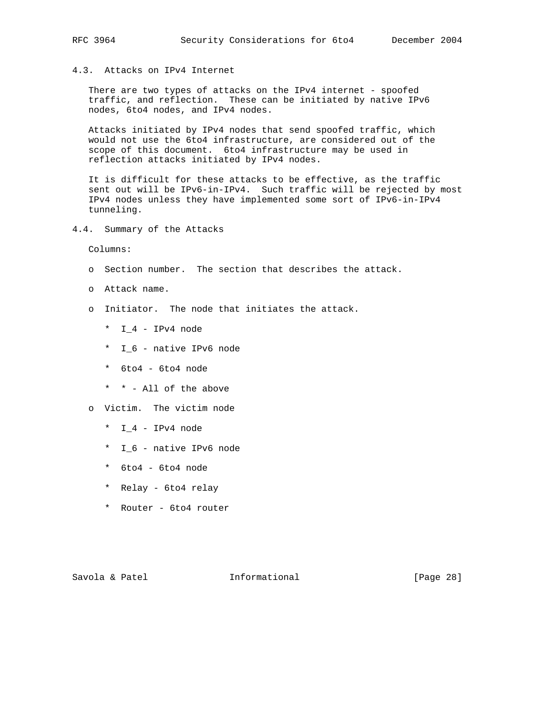# 4.3. Attacks on IPv4 Internet

There are two types of attacks on the IPv4 internet - spoofed traffic, and reflection. These can be initiated by native IPv6 nodes, 6to4 nodes, and IPv4 nodes.

 Attacks initiated by IPv4 nodes that send spoofed traffic, which would not use the 6to4 infrastructure, are considered out of the scope of this document. 6to4 infrastructure may be used in reflection attacks initiated by IPv4 nodes.

 It is difficult for these attacks to be effective, as the traffic sent out will be IPv6-in-IPv4. Such traffic will be rejected by most IPv4 nodes unless they have implemented some sort of IPv6-in-IPv4 tunneling.

4.4. Summary of the Attacks

Columns:

- o Section number. The section that describes the attack.
- o Attack name.
- o Initiator. The node that initiates the attack.
	- \* I\_4 IPv4 node
	- \* I\_6 native IPv6 node
	- \* 6to4 6to4 node
	- \* \* All of the above
- o Victim. The victim node
	- \* I\_4 IPv4 node
	- \* I\_6 native IPv6 node
	- \* 6to4 6to4 node
	- \* Relay 6to4 relay
	- \* Router 6to4 router

Savola & Patel **Informational** [Page 28]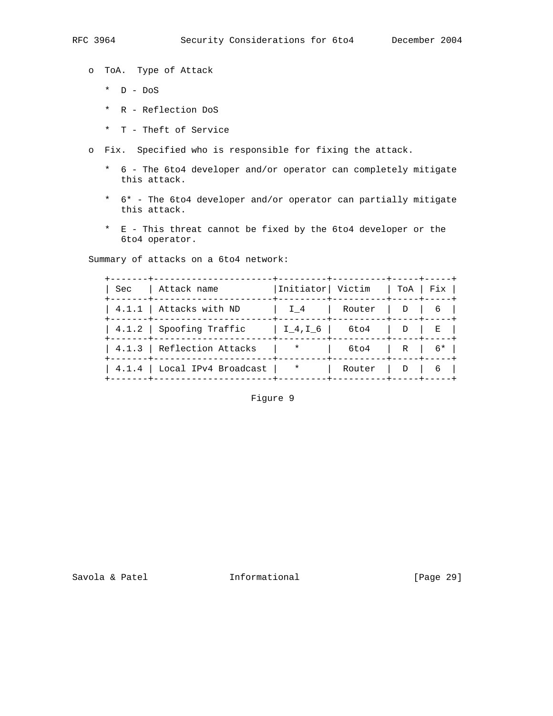o ToA. Type of Attack

- \* D DoS
- \* R Reflection DoS
- \* T Theft of Service
- o Fix. Specified who is responsible for fixing the attack.
	- \* 6 The 6to4 developer and/or operator can completely mitigate this attack.
	- \* 6\* The 6to4 developer and/or operator can partially mitigate this attack.
	- \* E This threat cannot be fixed by the 6to4 developer or the 6to4 operator.

Summary of attacks on a 6to4 network:

| I 4                                                                                                              |                                |                 | 6                                                                                                                                                                                                     |
|------------------------------------------------------------------------------------------------------------------|--------------------------------|-----------------|-------------------------------------------------------------------------------------------------------------------------------------------------------------------------------------------------------|
|                                                                                                                  |                                | $D \mid$        | E                                                                                                                                                                                                     |
| $\star$                                                                                                          | 6to4                           | R I             | 6*                                                                                                                                                                                                    |
| $\star$                                                                                                          | Router                         | $\Box$          |                                                                                                                                                                                                       |
| Sec   Attack name<br>4.1.1   Attacks with ND<br>$\mid$ 4.1.2 $\mid$ Spoofing Traffic<br>4.1.3 Reflection Attacks | $4.1.4$   Local IPv4 Broadcast | I 4, I 6   6to4 | -+---------+----------+-----+----<br> Initiator  Victim   ToA   Fix  <br>--------+----------+----+----<br>Router   D  <br>--+---------+-----------+----+----<br>----+---------+----------+-----+----- |

# Figure 9

Savola & Patel **Informational** [Page 29]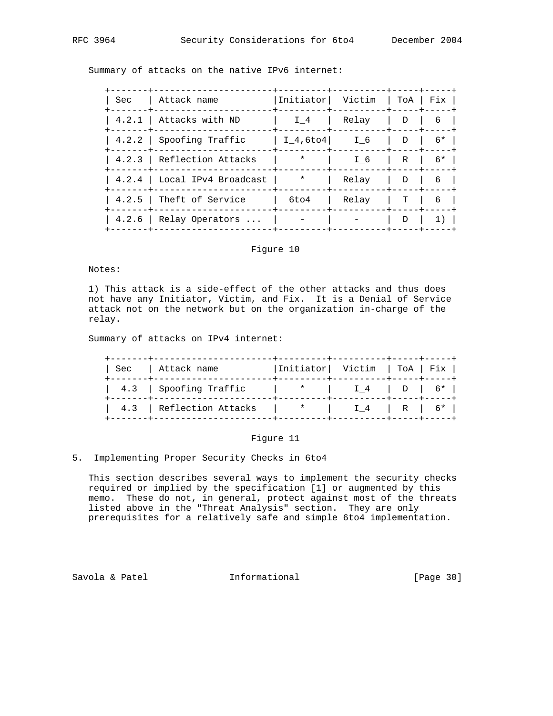Summary of attacks on the native IPv6 internet:

| <b>Sec</b> | Attack name                    | Initiator  | Victim |              | ToA   Fix |
|------------|--------------------------------|------------|--------|--------------|-----------|
|            | 4.2.1   Attacks with ND        | I 4        | Relay  | $\mathbf{D}$ | 6         |
|            | 4.2.2 Spoofing Traffic         | $I$ 4,6to4 | I 6    | D            | $6*$      |
|            | 4.2.3 Reflection Attacks       | $\star$    | I 6    | R            | $6*$      |
|            | $4.2.4$   Local IPv4 Broadcast | $\star$    | Relay  | $\mathbf{D}$ | 6         |
| 4.2.5      | Theft of Service               | 6to4       | Relay  | т            | 6         |
|            | $4.2.6$   Relay Operators      |            |        | D            |           |
|            |                                |            |        |              |           |

## Figure 10

Notes:

 1) This attack is a side-effect of the other attacks and thus does not have any Initiator, Victim, and Fix. It is a Denial of Service attack not on the network but on the organization in-charge of the relay.

Summary of attacks on IPv4 internet:

| Sec   Attack name<br>. - - - - - - - + - - - - - - -                                                            | --+---------+-----------+----+-----<br> Initiator  Victim   ToA   Fix  <br>+---------+----------+----+---- |  |
|-----------------------------------------------------------------------------------------------------------------|------------------------------------------------------------------------------------------------------------|--|
| 4.3   Spoofing Traffic $\qquad$   $\qquad$   $\qquad$   $\qquad$   $\qquad$   $\qquad$   $\qquad$   $\qquad$ 6* |                                                                                                            |  |
| 4.3   Reflection Attacks   *   $I_4$   R   6*                                                                   |                                                                                                            |  |

## Figure 11

## 5. Implementing Proper Security Checks in 6to4

 This section describes several ways to implement the security checks required or implied by the specification [1] or augmented by this memo. These do not, in general, protect against most of the threats listed above in the "Threat Analysis" section. They are only prerequisites for a relatively safe and simple 6to4 implementation.

Savola & Patel **Informational** [Page 30]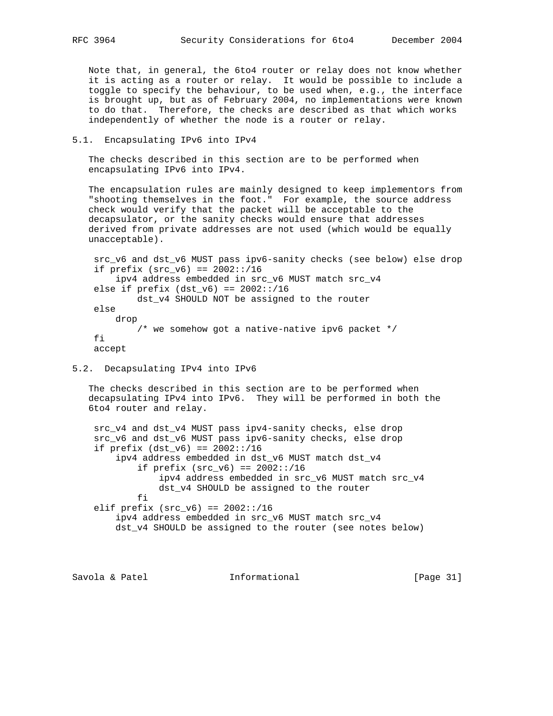Note that, in general, the 6to4 router or relay does not know whether it is acting as a router or relay. It would be possible to include a toggle to specify the behaviour, to be used when, e.g., the interface is brought up, but as of February 2004, no implementations were known to do that. Therefore, the checks are described as that which works independently of whether the node is a router or relay.

## 5.1. Encapsulating IPv6 into IPv4

 The checks described in this section are to be performed when encapsulating IPv6 into IPv4.

 The encapsulation rules are mainly designed to keep implementors from "shooting themselves in the foot." For example, the source address check would verify that the packet will be acceptable to the decapsulator, or the sanity checks would ensure that addresses derived from private addresses are not used (which would be equally unacceptable).

 src\_v6 and dst\_v6 MUST pass ipv6-sanity checks (see below) else drop if prefix  $(src_v6) == 2002::/16$  ipv4 address embedded in src\_v6 MUST match src\_v4 else if  $prefix (dst_v6) == 2002::/16$  dst\_v4 SHOULD NOT be assigned to the router else drop /\* we somehow got a native-native ipv6 packet \*/ fi accept

## 5.2. Decapsulating IPv4 into IPv6

 The checks described in this section are to be performed when decapsulating IPv4 into IPv6. They will be performed in both the 6to4 router and relay.

 src\_v4 and dst\_v4 MUST pass ipv4-sanity checks, else drop src\_v6 and dst\_v6 MUST pass ipv6-sanity checks, else drop if  $prefix (dst_v6) == 2002::/16$  ipv4 address embedded in dst\_v6 MUST match dst\_v4 if prefix  $(src_v6) == 2002::/16$  ipv4 address embedded in src\_v6 MUST match src\_v4 dst\_v4 SHOULD be assigned to the router fi elif prefix  $(src_v6) == 2002::/16$  ipv4 address embedded in src\_v6 MUST match src\_v4 dst\_v4 SHOULD be assigned to the router (see notes below)

Savola & Patel **Informational** [Page 31]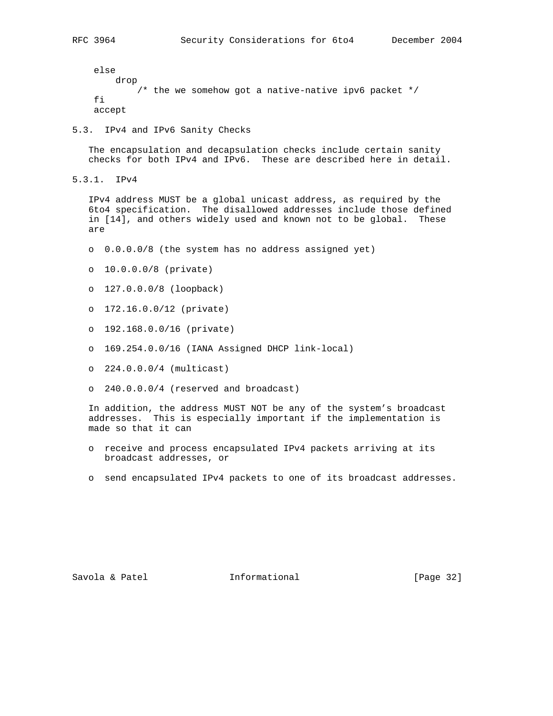else drop  $\prime$ \* the we somehow got a native-native ipv6 packet \*/ fi accept

5.3. IPv4 and IPv6 Sanity Checks

 The encapsulation and decapsulation checks include certain sanity checks for both IPv4 and IPv6. These are described here in detail.

5.3.1. IPv4

 IPv4 address MUST be a global unicast address, as required by the 6to4 specification. The disallowed addresses include those defined in [14], and others widely used and known not to be global. These are

- o 0.0.0.0/8 (the system has no address assigned yet)
- o 10.0.0.0/8 (private)
- o 127.0.0.0/8 (loopback)
- o 172.16.0.0/12 (private)
- o 192.168.0.0/16 (private)
- o 169.254.0.0/16 (IANA Assigned DHCP link-local)
- o 224.0.0.0/4 (multicast)
- o 240.0.0.0/4 (reserved and broadcast)

 In addition, the address MUST NOT be any of the system's broadcast addresses. This is especially important if the implementation is made so that it can

- o receive and process encapsulated IPv4 packets arriving at its broadcast addresses, or
- o send encapsulated IPv4 packets to one of its broadcast addresses.

Savola & Patel **Informational** [Page 32]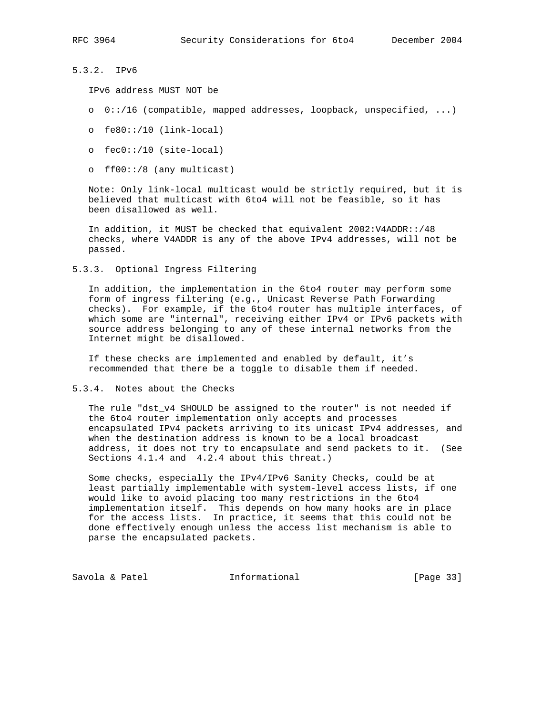# 5.3.2. IPv6

IPv6 address MUST NOT be

- o 0::/16 (compatible, mapped addresses, loopback, unspecified, ...)
- o fe80::/10 (link-local)
- o fec0::/10 (site-local)
- o ff00::/8 (any multicast)

 Note: Only link-local multicast would be strictly required, but it is believed that multicast with 6to4 will not be feasible, so it has been disallowed as well.

 In addition, it MUST be checked that equivalent 2002:V4ADDR::/48 checks, where V4ADDR is any of the above IPv4 addresses, will not be passed.

5.3.3. Optional Ingress Filtering

 In addition, the implementation in the 6to4 router may perform some form of ingress filtering (e.g., Unicast Reverse Path Forwarding checks). For example, if the 6to4 router has multiple interfaces, of which some are "internal", receiving either IPv4 or IPv6 packets with source address belonging to any of these internal networks from the Internet might be disallowed.

 If these checks are implemented and enabled by default, it's recommended that there be a toggle to disable them if needed.

5.3.4. Notes about the Checks

 The rule "dst\_v4 SHOULD be assigned to the router" is not needed if the 6to4 router implementation only accepts and processes encapsulated IPv4 packets arriving to its unicast IPv4 addresses, and when the destination address is known to be a local broadcast address, it does not try to encapsulate and send packets to it. (See Sections 4.1.4 and 4.2.4 about this threat.)

 Some checks, especially the IPv4/IPv6 Sanity Checks, could be at least partially implementable with system-level access lists, if one would like to avoid placing too many restrictions in the 6to4 implementation itself. This depends on how many hooks are in place for the access lists. In practice, it seems that this could not be done effectively enough unless the access list mechanism is able to parse the encapsulated packets.

Savola & Patel **Informational** [Page 33]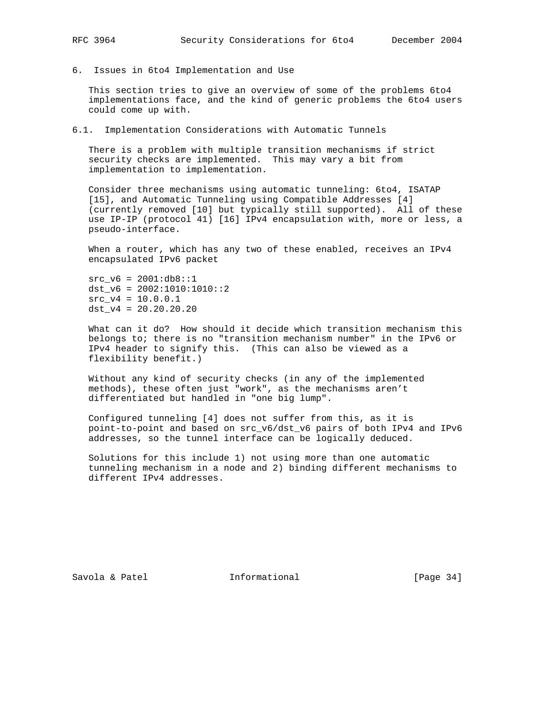6. Issues in 6to4 Implementation and Use

 This section tries to give an overview of some of the problems 6to4 implementations face, and the kind of generic problems the 6to4 users could come up with.

6.1. Implementation Considerations with Automatic Tunnels

 There is a problem with multiple transition mechanisms if strict security checks are implemented. This may vary a bit from implementation to implementation.

 Consider three mechanisms using automatic tunneling: 6to4, ISATAP [15], and Automatic Tunneling using Compatible Addresses [4] (currently removed [10] but typically still supported). All of these use IP-IP (protocol 41) [16] IPv4 encapsulation with, more or less, a pseudo-interface.

When a router, which has any two of these enabled, receives an IPv4 encapsulated IPv6 packet

 $src v6 = 2001:db8::1$  $dst_v6 = 2002:1010:1010::2$  $src_v4 = 10.0.0.1$  $dst_v4 = 20.20.20.20$ 

 What can it do? How should it decide which transition mechanism this belongs to; there is no "transition mechanism number" in the IPv6 or IPv4 header to signify this. (This can also be viewed as a flexibility benefit.)

 Without any kind of security checks (in any of the implemented methods), these often just "work", as the mechanisms aren't differentiated but handled in "one big lump".

 Configured tunneling [4] does not suffer from this, as it is point-to-point and based on src\_v6/dst\_v6 pairs of both IPv4 and IPv6 addresses, so the tunnel interface can be logically deduced.

 Solutions for this include 1) not using more than one automatic tunneling mechanism in a node and 2) binding different mechanisms to different IPv4 addresses.

Savola & Patel **Informational** [Page 34]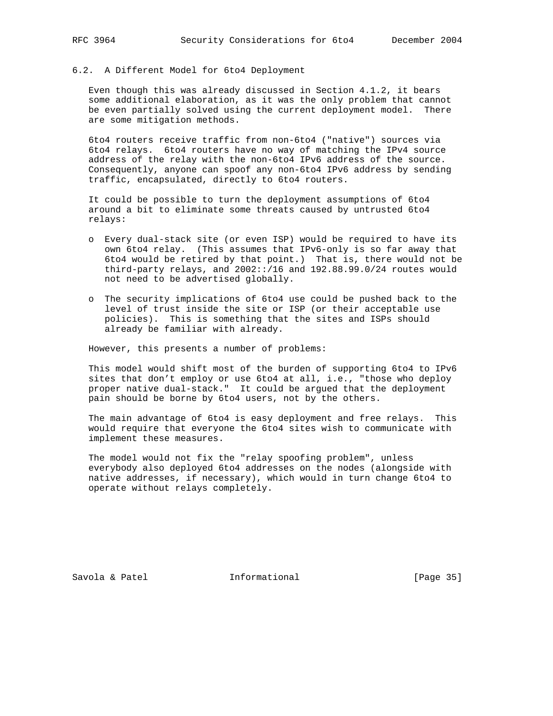# 6.2. A Different Model for 6to4 Deployment

 Even though this was already discussed in Section 4.1.2, it bears some additional elaboration, as it was the only problem that cannot be even partially solved using the current deployment model. There are some mitigation methods.

 6to4 routers receive traffic from non-6to4 ("native") sources via 6to4 relays. 6to4 routers have no way of matching the IPv4 source address of the relay with the non-6to4 IPv6 address of the source. Consequently, anyone can spoof any non-6to4 IPv6 address by sending traffic, encapsulated, directly to 6to4 routers.

 It could be possible to turn the deployment assumptions of 6to4 around a bit to eliminate some threats caused by untrusted 6to4 relays:

- o Every dual-stack site (or even ISP) would be required to have its own 6to4 relay. (This assumes that IPv6-only is so far away that 6to4 would be retired by that point.) That is, there would not be third-party relays, and 2002::/16 and 192.88.99.0/24 routes would not need to be advertised globally.
- o The security implications of 6to4 use could be pushed back to the level of trust inside the site or ISP (or their acceptable use policies). This is something that the sites and ISPs should already be familiar with already.

However, this presents a number of problems:

 This model would shift most of the burden of supporting 6to4 to IPv6 sites that don't employ or use 6to4 at all, i.e., "those who deploy proper native dual-stack." It could be argued that the deployment pain should be borne by 6to4 users, not by the others.

 The main advantage of 6to4 is easy deployment and free relays. This would require that everyone the 6to4 sites wish to communicate with implement these measures.

 The model would not fix the "relay spoofing problem", unless everybody also deployed 6to4 addresses on the nodes (alongside with native addresses, if necessary), which would in turn change 6to4 to operate without relays completely.

Savola & Patel **Informational** [Page 35]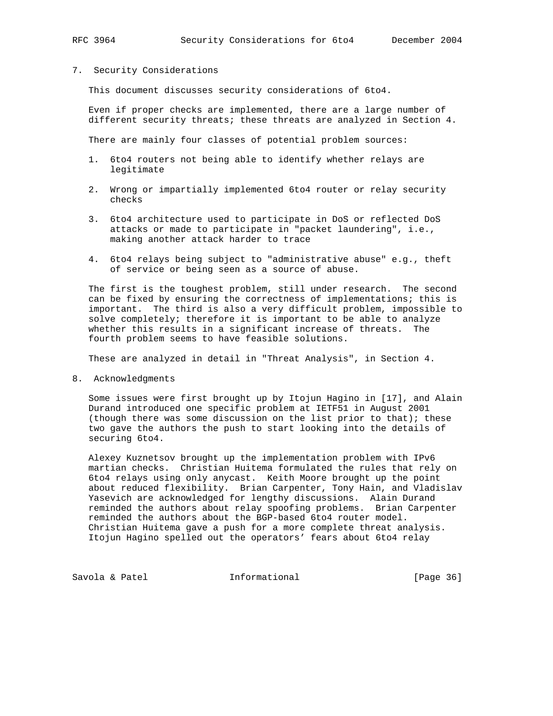# 7. Security Considerations

This document discusses security considerations of 6to4.

 Even if proper checks are implemented, there are a large number of different security threats; these threats are analyzed in Section 4.

There are mainly four classes of potential problem sources:

- 1. 6to4 routers not being able to identify whether relays are legitimate
- 2. Wrong or impartially implemented 6to4 router or relay security checks
- 3. 6to4 architecture used to participate in DoS or reflected DoS attacks or made to participate in "packet laundering", i.e., making another attack harder to trace
- 4. 6to4 relays being subject to "administrative abuse" e.g., theft of service or being seen as a source of abuse.

 The first is the toughest problem, still under research. The second can be fixed by ensuring the correctness of implementations; this is important. The third is also a very difficult problem, impossible to solve completely; therefore it is important to be able to analyze whether this results in a significant increase of threats. The fourth problem seems to have feasible solutions.

These are analyzed in detail in "Threat Analysis", in Section 4.

8. Acknowledgments

 Some issues were first brought up by Itojun Hagino in [17], and Alain Durand introduced one specific problem at IETF51 in August 2001 (though there was some discussion on the list prior to that); these two gave the authors the push to start looking into the details of securing 6to4.

 Alexey Kuznetsov brought up the implementation problem with IPv6 martian checks. Christian Huitema formulated the rules that rely on 6to4 relays using only anycast. Keith Moore brought up the point about reduced flexibility. Brian Carpenter, Tony Hain, and Vladislav Yasevich are acknowledged for lengthy discussions. Alain Durand reminded the authors about relay spoofing problems. Brian Carpenter reminded the authors about the BGP-based 6to4 router model. Christian Huitema gave a push for a more complete threat analysis. Itojun Hagino spelled out the operators' fears about 6to4 relay

Savola & Patel **Informational** [Page 36]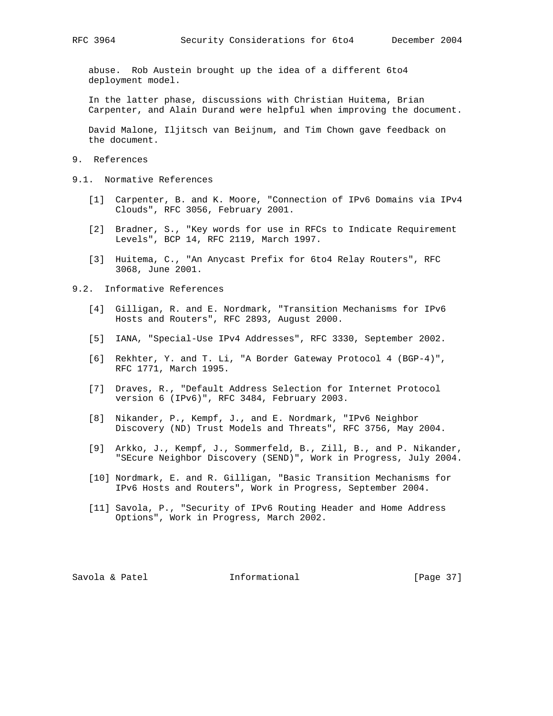abuse. Rob Austein brought up the idea of a different 6to4 deployment model.

 In the latter phase, discussions with Christian Huitema, Brian Carpenter, and Alain Durand were helpful when improving the document.

 David Malone, Iljitsch van Beijnum, and Tim Chown gave feedback on the document.

- 9. References
- 9.1. Normative References
	- [1] Carpenter, B. and K. Moore, "Connection of IPv6 Domains via IPv4 Clouds", RFC 3056, February 2001.
	- [2] Bradner, S., "Key words for use in RFCs to Indicate Requirement Levels", BCP 14, RFC 2119, March 1997.
	- [3] Huitema, C., "An Anycast Prefix for 6to4 Relay Routers", RFC 3068, June 2001.

9.2. Informative References

- [4] Gilligan, R. and E. Nordmark, "Transition Mechanisms for IPv6 Hosts and Routers", RFC 2893, August 2000.
- [5] IANA, "Special-Use IPv4 Addresses", RFC 3330, September 2002.
- [6] Rekhter, Y. and T. Li, "A Border Gateway Protocol 4 (BGP-4)", RFC 1771, March 1995.
- [7] Draves, R., "Default Address Selection for Internet Protocol version 6 (IPv6)", RFC 3484, February 2003.
- [8] Nikander, P., Kempf, J., and E. Nordmark, "IPv6 Neighbor Discovery (ND) Trust Models and Threats", RFC 3756, May 2004.
- [9] Arkko, J., Kempf, J., Sommerfeld, B., Zill, B., and P. Nikander, "SEcure Neighbor Discovery (SEND)", Work in Progress, July 2004.
- [10] Nordmark, E. and R. Gilligan, "Basic Transition Mechanisms for IPv6 Hosts and Routers", Work in Progress, September 2004.
- [11] Savola, P., "Security of IPv6 Routing Header and Home Address Options", Work in Progress, March 2002.

Savola & Patel **Informational** [Page 37]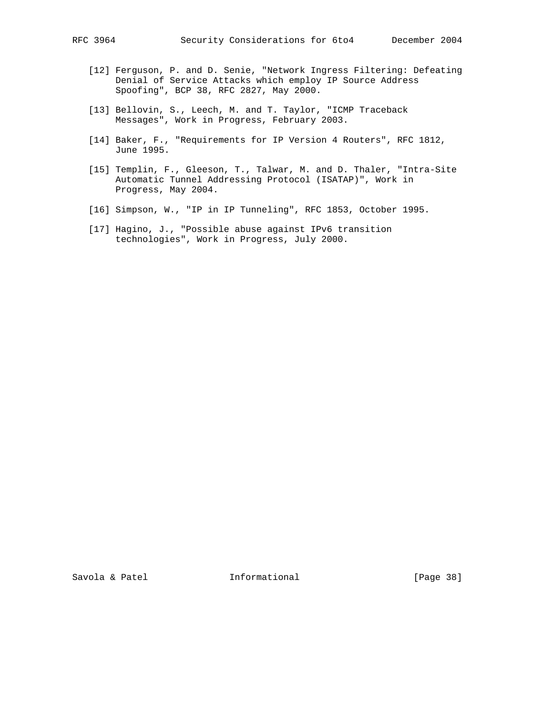- [12] Ferguson, P. and D. Senie, "Network Ingress Filtering: Defeating Denial of Service Attacks which employ IP Source Address Spoofing", BCP 38, RFC 2827, May 2000.
- [13] Bellovin, S., Leech, M. and T. Taylor, "ICMP Traceback Messages", Work in Progress, February 2003.
- [14] Baker, F., "Requirements for IP Version 4 Routers", RFC 1812, June 1995.
- [15] Templin, F., Gleeson, T., Talwar, M. and D. Thaler, "Intra-Site Automatic Tunnel Addressing Protocol (ISATAP)", Work in Progress, May 2004.
- [16] Simpson, W., "IP in IP Tunneling", RFC 1853, October 1995.
- [17] Hagino, J., "Possible abuse against IPv6 transition technologies", Work in Progress, July 2000.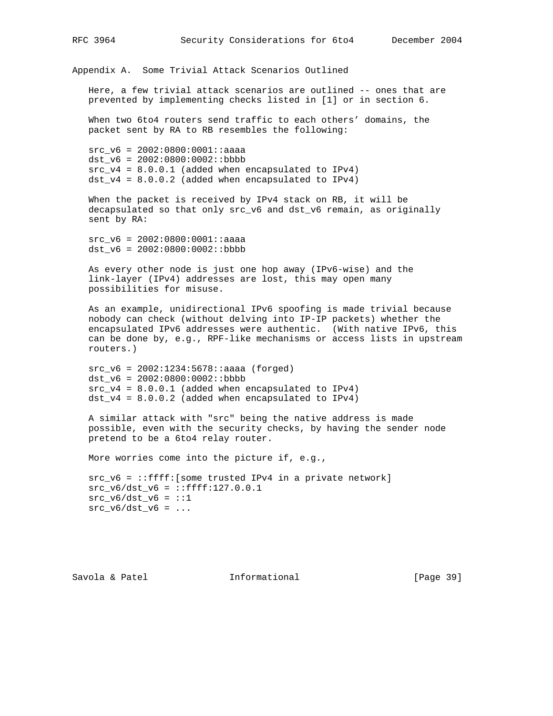Appendix A. Some Trivial Attack Scenarios Outlined

 Here, a few trivial attack scenarios are outlined -- ones that are prevented by implementing checks listed in [1] or in section 6.

 When two 6to4 routers send traffic to each others' domains, the packet sent by RA to RB resembles the following:

 src\_v6 = 2002:0800:0001::aaaa dst  $v6 = 2002:0800:0002::bbbb$  $src_v4 = 8.0.0.1$  (added when encapsulated to IPv4)  $dst_v4 = 8.0.0.2$  (added when encapsulated to IPv4)

 When the packet is received by IPv4 stack on RB, it will be decapsulated so that only src\_v6 and dst\_v6 remain, as originally sent by RA:

 src\_v6 = 2002:0800:0001::aaaa dst\_v6 = 2002:0800:0002::bbbb

 As every other node is just one hop away (IPv6-wise) and the link-layer (IPv4) addresses are lost, this may open many possibilities for misuse.

 As an example, unidirectional IPv6 spoofing is made trivial because nobody can check (without delving into IP-IP packets) whether the encapsulated IPv6 addresses were authentic. (With native IPv6, this can be done by, e.g., RPF-like mechanisms or access lists in upstream routers.)

 $src v6 = 2002:1234:5678: :aaaa (forced)$  dst\_v6 = 2002:0800:0002::bbbb  $src_v4 = 8.0.0.1$  (added when encapsulated to IPv4) dst\_v4 = 8.0.0.2 (added when encapsulated to IPv4)

 A similar attack with "src" being the native address is made possible, even with the security checks, by having the sender node pretend to be a 6to4 relay router.

More worries come into the picture if, e.g.,

 src\_v6 = ::ffff:[some trusted IPv4 in a private network]  $src_v6/dst_v6 = ::ffff:127.0.0.1$  $src_v6/dst_v6 = ::1$  $src_v6/dst_v6 = ...$ 

Savola & Patel **Informational** [Page 39]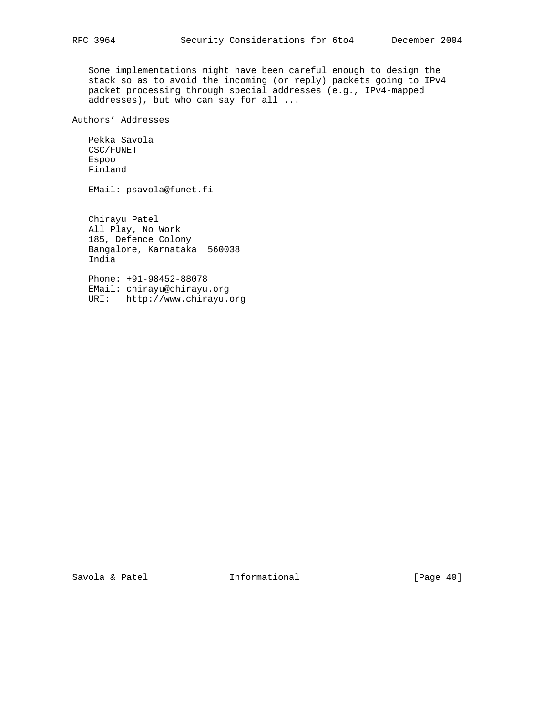Some implementations might have been careful enough to design the stack so as to avoid the incoming (or reply) packets going to IPv4 packet processing through special addresses (e.g., IPv4-mapped addresses), but who can say for all ...

Authors' Addresses

 Pekka Savola CSC/FUNET Espoo Finland

EMail: psavola@funet.fi

 Chirayu Patel All Play, No Work 185, Defence Colony Bangalore, Karnataka 560038 India

 Phone: +91-98452-88078 EMail: chirayu@chirayu.org URI: http://www.chirayu.org

Savola & Patel **Informational** [Page 40]